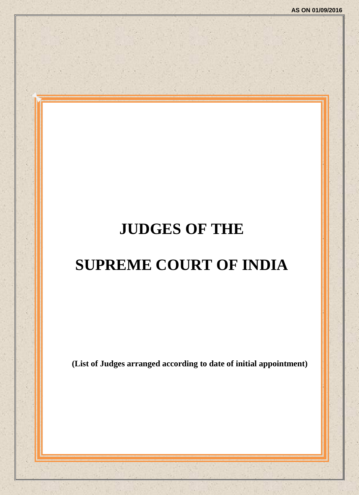# **JUDGES OF THE**

# **SUPREME COURT OF INDIA**

**(List of Judges arranged according to date of initial appointment)**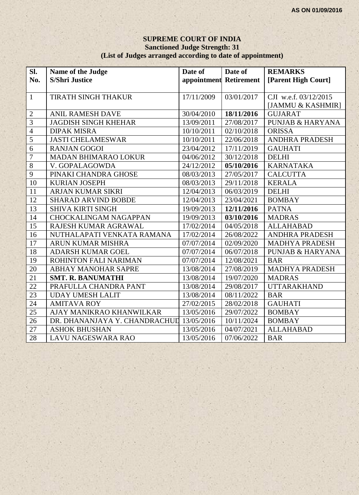#### **SUPREME COURT OF INDIA Sanctioned Judge Strength: 31 (List of Judges arranged according to date of appointment)**

| Sl.             | Name of the Judge             | Date of                | Date of    | <b>REMARKS</b>              |
|-----------------|-------------------------------|------------------------|------------|-----------------------------|
| No.             | <b>S/Shri Justice</b>         | appointment Retirement |            | [Parent High Court]         |
|                 |                               |                        |            |                             |
| $\mathbf{1}$    | TIRATH SINGH THAKUR           | 17/11/2009             | 03/01/2017 | CJI w.e.f. 03/12/2015       |
|                 |                               |                        |            | [JAMMU & KASHMIR]           |
| $\overline{2}$  | <b>ANIL RAMESH DAVE</b>       | 30/04/2010             | 18/11/2016 | <b>GUJARAT</b>              |
| $\overline{3}$  | <b>JAGDISH SINGH KHEHAR</b>   | 13/09/2011             | 27/08/2017 | <b>PUNJAB &amp; HARYANA</b> |
| $\overline{4}$  | <b>DIPAK MISRA</b>            | 10/10/2011             | 02/10/2018 | <b>ORISSA</b>               |
| $\overline{5}$  | <b>JASTI CHELAMESWAR</b>      | 10/10/2011             | 22/06/2018 | <b>ANDHRA PRADESH</b>       |
| $\overline{6}$  | <b>RANJAN GOGOI</b>           | 23/04/2012             | 17/11/2019 | <b>GAUHATI</b>              |
| $\overline{7}$  | MADAN BHIMARAO LOKUR          | 04/06/2012             | 30/12/2018 | <b>DELHI</b>                |
| $\overline{8}$  | V. GOPALAGOWDA                | 24/12/2012             | 05/10/2016 | <b>KARNATAKA</b>            |
| $\overline{9}$  | PINAKI CHANDRA GHOSE          | 08/03/2013             | 27/05/2017 | <b>CALCUTTA</b>             |
| $\overline{10}$ | <b>KURIAN JOSEPH</b>          | 08/03/2013             | 29/11/2018 | <b>KERALA</b>               |
| 11              | ARJAN KUMAR SIKRI             | 12/04/2013             | 06/03/2019 | <b>DELHI</b>                |
| 12              | <b>SHARAD ARVIND BOBDE</b>    | 12/04/2013             | 23/04/2021 | <b>BOMBAY</b>               |
| 13              | <b>SHIVA KIRTI SINGH</b>      | 19/09/2013             | 12/11/2016 | <b>PATNA</b>                |
| 14              | <b>CHOCKALINGAM NAGAPPAN</b>  | 19/09/2013             | 03/10/2016 | <b>MADRAS</b>               |
| 15              | RAJESH KUMAR AGRAWAL          | 17/02/2014             | 04/05/2018 | <b>ALLAHABAD</b>            |
| 16              | NUTHALAPATI VENKATA RAMANA    | 17/02/2014             | 26/08/2022 | <b>ANDHRA PRADESH</b>       |
| 17              | ARUN KUMAR MISHRA             | 07/07/2014             | 02/09/2020 | <b>MADHYA PRADESH</b>       |
| 18              | ADARSH KUMAR GOEL             | 07/07/2014             | 06/07/2018 | <b>PUNJAB &amp; HARYANA</b> |
| 19              | ROHINTON FALI NARIMAN         | 07/07/2014             | 12/08/2021 | <b>BAR</b>                  |
| 20              | ABHAY MANOHAR SAPRE           | 13/08/2014             | 27/08/2019 | <b>MADHYA PRADESH</b>       |
| 21              | <b>SMT. R. BANUMATHI</b>      | 13/08/2014             | 19/07/2020 | <b>MADRAS</b>               |
| 22              | PRAFULLA CHANDRA PANT         | 13/08/2014             | 29/08/2017 | <b>UTTARAKHAND</b>          |
| 23              | <b>UDAY UMESH LALIT</b>       | 13/08/2014             | 08/11/2022 | <b>BAR</b>                  |
| 24              | <b>AMITAVA ROY</b>            | 27/02/2015             | 28/02/2018 | <b>GAUHATI</b>              |
| 25              | AJAY MANIKRAO KHANWILKAR      | 13/05/2016             | 29/07/2022 | <b>BOMBAY</b>               |
| 26              | DR. DHANANJAYA Y. CHANDRACHUL | 13/05/2016             | 10/11/2024 | <b>BOMBAY</b>               |
| 27              | <b>ASHOK BHUSHAN</b>          | 13/05/2016             | 04/07/2021 | <b>ALLAHABAD</b>            |
| 28              | <b>LAVU NAGESWARA RAO</b>     | 13/05/2016             | 07/06/2022 | <b>BAR</b>                  |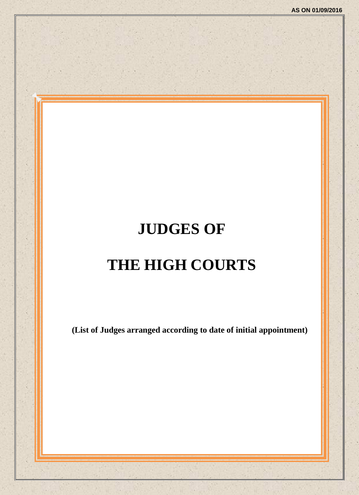# **JUDGES OF**

# **THE HIGH COURTS**

**(List of Judges arranged according to date of initial appointment)**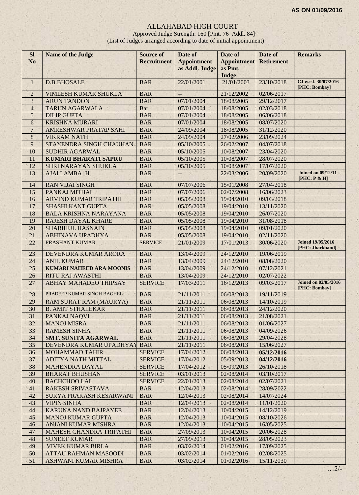## ALLAHABAD HIGH COURT

Approved Judge Strength: 160 [Pmt. 76 Addl. 84] (List of Judges arranged according to date of initial appointment)

| <b>SI</b><br>N <sub>o</sub> | <b>Name of the Judge</b>        | <b>Source of</b><br><b>Recruitment</b> | Date of<br><b>Appointment</b> | Date of<br><b>Appointment</b> | Date of<br><b>Retirement</b> | <b>Remarks</b>                               |
|-----------------------------|---------------------------------|----------------------------------------|-------------------------------|-------------------------------|------------------------------|----------------------------------------------|
|                             |                                 |                                        | as Addl. Judge                | as Pmt.                       |                              |                                              |
|                             |                                 |                                        |                               | Judge                         |                              |                                              |
| $\mathbf{1}$                | <b>D.B.BHOSALE</b>              | <b>BAR</b>                             | 22/01/2001                    | 21/01/2003                    | 23/10/2018                   | CJ w.e.f. 30/07/2016<br>[PHC: Bombay]        |
| $\mathbf 2$                 | VIMLESH KUMAR SHUKLA            | <b>BAR</b>                             | $\overline{\phantom{a}}$      | 21/12/2002                    | 02/06/2017                   |                                              |
| 3                           | <b>ARUN TANDON</b>              | <b>BAR</b>                             | 07/01/2004                    | 18/08/2005                    | 29/12/2017                   |                                              |
| $\overline{4}$              | <b>TARUN AGARWALA</b>           | <b>Bar</b>                             | 07/01/2004                    | 18/08/2005                    | 02/03/2018                   |                                              |
| 5                           | <b>DILIP GUPTA</b>              | <b>BAR</b>                             | 07/01/2004                    | 18/08/2005                    | 06/06/2018                   |                                              |
| $\overline{6}$              | <b>KRISHNA MURARI</b>           | <b>BAR</b>                             | 07/01/2004                    | 18/08/2005                    | 08/07/2020                   |                                              |
| $\overline{7}$              | AMRESHWAR PRATAP SAHI           | <b>BAR</b>                             | 24/09/2004                    | 18/08/2005                    | 31/12/2020                   |                                              |
| $\,8\,$                     | <b>VIKRAM NATH</b>              | <b>BAR</b>                             | 24/09/2004                    | 27/02/2006                    | 23/09/2024                   |                                              |
| 9                           | STAYENDRA SINGH CHAUHAN         | <b>BAR</b>                             | 05/10/2005                    | 26/02/2007                    | 04/07/2018                   |                                              |
| 10                          | <b>SUDHIR AGARWAL</b>           | <b>BAR</b>                             | 05/10/2005                    | 10/08/2007                    | 23/04/2020                   |                                              |
| 11                          | <b>KUMARI BHARATI SAPRU</b>     | <b>BAR</b>                             | 05/10/2005                    | 10/08/2007                    | 28/07/2020                   |                                              |
| 12                          | <b>SHRI NARAYAN SHUKLA</b>      | <b>BAR</b>                             | 05/10/2005                    | 10/08/2007                    | 17/07/2020                   |                                              |
| 13                          | <b>AJAI LAMBA [H]</b>           | <b>BAR</b>                             | $\qquad \qquad -$             | 22/03/2006                    | 20/09/2020                   | <b>Joined on 09/12/11</b><br>[PHC: P & H]    |
| 14                          | <b>RAN VIJAI SINGH</b>          | <b>BAR</b>                             | 07/07/2006                    | 15/01/2008                    | 27/04/2018                   |                                              |
| 15                          | PANKAJ MITHAL                   | <b>BAR</b>                             | 07/07/2006                    | 02/07/2008                    | 16/06/2023                   |                                              |
| 16                          | <b>ARVIND KUMAR TRIPATHI</b>    | <b>BAR</b>                             | 05/05/2008                    | 19/04/2010                    | 09/03/2018                   |                                              |
| 17                          | <b>SHASHI KANT GUPTA</b>        | <b>BAR</b>                             | 05/05/2008                    | 19/04/2010                    | 13/11/2020                   |                                              |
| 18                          | <b>BALA KRISHNA NARAYANA</b>    | <b>BAR</b>                             | 05/05/2008                    | 19/04/2010                    | 26/07/2020                   |                                              |
| 19                          | <b>RAJESH DAYAL KHARE</b>       | <b>BAR</b>                             | 05/05/2008                    | 19/04/2010                    | 31/08/2018                   |                                              |
| 20                          | <b>SHABIHUL HASNAIN</b>         | <b>BAR</b>                             | 05/05/2008                    | 19/04/2010                    | 09/01/2020                   |                                              |
| 21                          | <b>ABHINAVA UPADHYA</b>         | <b>BAR</b>                             | 05/05/2008                    | 19/04/2010                    | 02/11/2020                   |                                              |
| 22                          | PRASHANT KUMAR                  | <b>SERVICE</b>                         | 21/01/2009                    | 17/01/2013                    | 30/06/2020                   | <b>Joined 19/05/2016</b><br>[PHC: Jharkhand] |
| 23                          | DEVENDRA KUMAR ARORA            | <b>BAR</b>                             | 13/04/2009                    | 24/12/2010                    | 19/06/2019                   |                                              |
| 24                          | <b>ANIL KUMAR</b>               | <b>BAR</b>                             | 13/04/2009                    | 24/12/2010                    | 08/08/2020                   |                                              |
| 25                          | <b>KUMARI NAHEED ARA MOONIS</b> | <b>BAR</b>                             | 13/04/2009                    | 24/12/2010                    | 07/12/2021                   |                                              |
| 26                          | <b>RITU RAJ AWASTHI</b>         | <b>BAR</b>                             | 13/04/2009                    | 24/12/2010                    | 02/07/2022                   |                                              |
| 27                          | ABHAY MAHADEO THIPSAY           | <b>SERVICE</b>                         | 17/03/2011                    | 16/12/2013                    | 09/03/2017                   | <b>Joined on 02/05/2016</b><br>[PHC: Bombay] |
| 28                          | PRADEEP KUMAR SINGH BAGHEL      | <b>BAR</b>                             | 21/11/2011<br>×               | 06/08/2013                    | 19/11/2019                   |                                              |
| 29                          | <b>RAM SURAT RAM (MAURYA)</b>   | <b>BAR</b>                             | 21/11/2011                    | 06/08/2013                    | 14/10/2019                   |                                              |
| 30                          | <b>B. AMIT STHALEKAR</b>        | <b>BAR</b>                             | 21/11/2011                    | 06/08/2013                    | 24/12/2020                   |                                              |
| 31                          | PANKAJ NAQVI                    | <b>BAR</b>                             | 21/11/2011                    | 06/08/2013                    | 21/08/2021                   |                                              |
| 32                          | <b>MANOJ MISRA</b>              | <b>BAR</b>                             | 21/11/2011                    | 06/08/2013                    | 01/06/2027                   |                                              |
| 33                          | <b>RAMESH SINHA</b>             | <b>BAR</b>                             | 21/11/2011                    | 06/08/2013                    | 04/09/2026                   |                                              |
| 34                          | <b>SMT. SUNITA AGARWAL</b>      | <b>BAR</b>                             | 21/11/2011                    | 06/08/2013                    | 29/04/2028                   |                                              |
| 35                          | DEVENDRA KUMAR UPADHYAY         | <b>BAR</b>                             | 21/11/2011                    | 06/08/2013                    | 15/06/2027                   |                                              |
| 36                          | <b>MOHAMMAD TAHIR</b>           | <b>SERVICE</b>                         | 17/04/2012                    | 06/08/2013                    | 05/12/2016                   |                                              |
| 37                          | ADITYA NATH MITTAL              | <b>SERVICE</b>                         | 17/04/2012                    | 05/09/2013                    | 04/12/2016                   |                                              |
| 38                          | <b>MAHENDRA DAYAL</b>           | <b>SERVICE</b>                         | 17/04/2012                    | 05/09/2013                    | 26/10/2018                   |                                              |
| 39                          | <b>BHARAT BHUSHAN</b>           | <b>SERVICE</b>                         | 03/01/2013                    | 02/08/2014                    | 03/10/2017                   |                                              |
| 40                          | <b>BACHCHOO LAL</b>             | <b>SERVICE</b>                         | 22/01/2013                    | 02/08/2014                    | 02/07/2021                   |                                              |
| 41                          | RAKESH SRIVASTAVA               | <b>BAR</b>                             | 12/04/2013                    | 02/08/2014                    | 28/09/2022                   | $\mathbf{q}_i$                               |
| 42                          | SURYA PRAKASH KESARWANI         | <b>BAR</b>                             | 12/04/2013                    | 02/08/2014                    | 14/07/2024                   |                                              |
| 43                          | <b>VIPIN SINHA</b>              | <b>BAR</b>                             | 12/04/2013                    | 02/08/2014                    | 11/01/2020                   |                                              |
| 44                          | KARUNA NAND BAJPAYEE            | <b>BAR</b>                             | 12/04/2013                    | 10/04/2015                    | 14/12/2019                   |                                              |
| 45                          | <b>MANOJ KUMAR GUPTA</b>        | <b>BAR</b>                             | 12/04/2013                    | 10/04/2015                    | 08/10/2026                   |                                              |
| 46                          | <b>ANJANI KUMAR MISHRA</b>      | <b>BAR</b>                             | 12/04/2013                    | 10/04/2015                    | 16/05/2025                   |                                              |
| 47                          | <b>MAHESH CHANDRA TRIPATHI</b>  | <b>BAR</b>                             | 27/09/2013                    | 10/04/2015                    | 20/06/2028                   |                                              |
| 48                          | <b>SUNEET KUMAR</b>             | <b>BAR</b>                             | 27/09/2013                    | 10/04/2015                    | 28/05/2023                   |                                              |
| 49                          | <b>VIVEK KUMAR BIRLA</b>        | <b>BAR</b>                             | 03/02/2014                    | 01/02/2016                    | 17/09/2025                   |                                              |
| 50                          | <b>ATTAU RAHMAN MASOODI</b>     | <b>BAR</b>                             | 03/02/2014                    | 01/02/2016                    | 02/08/2025                   |                                              |
| 51                          | ASHWANI KUMAR MISHRA            | <b>BAR</b>                             | 03/02/2014                    | 01/02/2016                    | 15/11/2030                   | $\mathbf{a}_i$                               |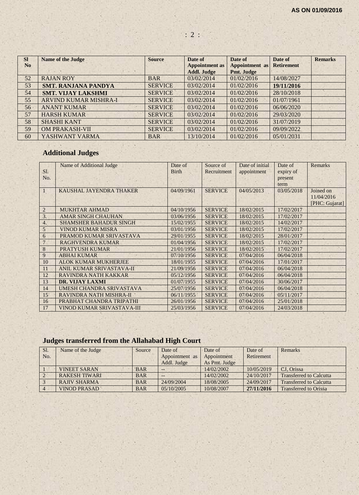| <b>SI</b>      | <b>Name of the Judge</b>     | <b>Source</b>  | Date of               | Date of               | Date of           | <b>Remarks</b> |
|----------------|------------------------------|----------------|-----------------------|-----------------------|-------------------|----------------|
| N <sub>0</sub> |                              |                | <b>Appointment as</b> | <b>Appointment</b> as | <b>Retirement</b> |                |
|                |                              |                | <b>Addl. Judge</b>    | Pmt. Judge            |                   |                |
| 52             | <b>RAJAN ROY</b>             | <b>BAR</b>     | 03/02/2014            | 01/02/2016            | 14/08/2027        |                |
| 53             | <b>SMT. RANJANA PANDYA</b>   | <b>SERVICE</b> | 03/02/2014            | 01/02/2016            | 19/11/2016        |                |
| 54             | <b>SMT. VIJAY LAKSHMI</b>    | <b>SERVICE</b> | 03/02/2014            | 01/02/2016            | 28/10/2018        |                |
| 55             | <b>ARVIND KUMAR MISHRA-I</b> | <b>SERVICE</b> | 03/02/2014            | 01/02/2016            | 01/07/1961        |                |
| 56             | <b>ANANT KUMAR</b>           | <b>SERVICE</b> | 03/02/2014            | 01/02/2016            | 06/06/2020        |                |
| 57             | <b>HARSH KUMAR</b>           | <b>SERVICE</b> | 03/02/2014            | 01/02/2016            | 29/03/2020        |                |
| 58             | <b>SHASHI KANT</b>           | <b>SERVICE</b> | 03/02/2014            | 01/02/2016            | 31/07/2019        |                |
| 59             | <b>OM PRAKASH-VII</b>        | <b>SERVICE</b> | 03/02/2014            | 01/02/2016            | 09/09/2022        |                |
| 60             | YASHWANT VARMA               | <b>BAR</b>     | 13/10/2014            | 01/02/2016            | 05/01/2031        |                |

## **Additional Judges**

|                | Name of Additional Judge      | Date of      | Source of      | Date of initial | Date of    | <b>Remarks</b> |
|----------------|-------------------------------|--------------|----------------|-----------------|------------|----------------|
| SI.            |                               | <b>Birth</b> | Recruitment    | appointment     | expiry of  |                |
| No.            |                               |              |                |                 | present    |                |
|                |                               |              |                |                 | term       |                |
|                | KAUSHAL JAYENDRA THAKER       | 04/09/1961   | <b>SERVICE</b> | 04/05/2013      | 03/05/2018 | Joined on      |
|                |                               |              |                |                 |            | 11/04/2016     |
|                |                               |              |                |                 |            | [PHC: Gujarat] |
| $\overline{2}$ | <b>MUKHTAR AHMAD</b>          | 04/10/1956   | <b>SERVICE</b> | 18/02/2015      | 17/02/2017 |                |
| 3.             | <b>AMAR SINGH CHAUHAN</b>     | 03/06/1956   | <b>SERVICE</b> | 18/02/2015      | 17/02/2017 |                |
| 4.             | <b>SHAMSHER BAHADUR SINGH</b> | 15/02/1955   | <b>SERVICE</b> | 18/02/2015      | 14/02/2017 |                |
| 5              | <b>VINOD KUMAR MISRA</b>      | 03/01/1956   | <b>SERVICE</b> | 18/02/2015      | 17/02/2017 |                |
| 6              | PRAMOD KUMAR SRIVASTAVA       | 29/01/1955   | <b>SERVICE</b> | 18/02/2015      | 28/01/2017 |                |
|                | <b>RAGHVENDRA KUMAR</b>       | 01/04/1956   | <b>SERVICE</b> | 18/02/2015      | 17/02/2017 |                |
| 8              | <b>PRATYUSH KUMAR</b>         | 21/01/1956   | <b>SERVICE</b> | 18/02/2015      | 17/02/2017 |                |
| 9              | <b>ABHAI KUMAR</b>            | 07/10/1956   | <b>SERVICE</b> | 07/04/2016      | 06/04/2018 |                |
| 10             | <b>ALOK KUMAR MUKHERJEE</b>   | 18/01/1955   | <b>SERVICE</b> | 07/04/2016      | 17/01/2017 |                |
| 11             | ANIL KUMAR SRIVASTAVA-II      | 21/09/1956   | <b>SERVICE</b> | 07/04/2016      | 06/04/2018 |                |
| 12             | RAVINDRA NATH KAKKAR          | 05/12/1956   | <b>SERVICE</b> | 07/04/2016      | 06/04/2018 |                |
| 13             | <b>DR. VIJAY LAXMI</b>        | 01/07/1955   | <b>SERVICE</b> | 07/04/2016      | 30/06/2017 |                |
| 14             | UMESH CHANDRA SRIVASTAVA      | 25/07/1956   | <b>SERVICE</b> | 07/04/2016      | 06/04/2018 |                |
| 15             | RAVINDRA NATH MISHRA-II       | 06/11/1955   | <b>SERVICE</b> | 07/04/2016      | 05/11/2017 |                |
| 16             | PRABHAT CHANDRA TRIPATHI      | 26/01/1956   | <b>SERVICE</b> | 07/04/2016      | 25/01/2018 |                |
| 17             | VINOD KUMAR SRIVASTAVA-III    | 25/03/1956   | <b>SERVICE</b> | 07/04/2016      | 24/03/2018 |                |

## **Judges transferred from the Allahabad High Court**

| Sl. | Name of the Judge    | Source     | Date of        | Date of       | Date of    | Remarks                        |
|-----|----------------------|------------|----------------|---------------|------------|--------------------------------|
| No. |                      |            | Appointment as | Appointment   | Retirement |                                |
|     |                      |            | Addl. Judge    | As Pmt. Judge |            |                                |
|     | <b>VINEET SARAN</b>  | <b>BAR</b> | --             | 14/02/2002    | 10/05/2019 | CJ. Orissa                     |
|     | <b>RAKESH TIWARI</b> | <b>BAR</b> | --             | 14/02/2002    | 24/10/2017 | <b>Transferred to Calcutta</b> |
|     | <b>RAJIV SHARMA</b>  | <b>BAR</b> | 24/09/2004     | 18/08/2005    | 24/09/2017 | <b>Transferred to Calcutta</b> |
|     | <b>VINOD PRASAD</b>  | <b>BAR</b> | 05/10/2005     | 10/08/2007    | 27/11/2016 | <b>Transferred to Orissa</b>   |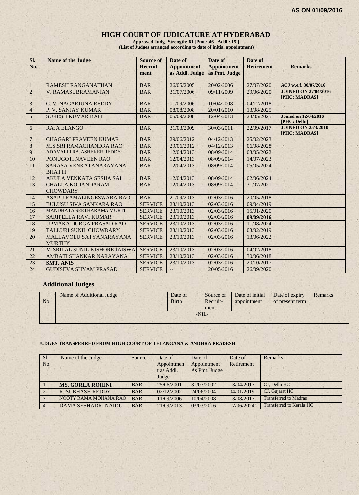## **HIGH COURT OF JUDICATURE AT HYDERABAD**

**Approved Judge Strength: 61 [Pmt.: 46 Addl.: 15 ] (List of Judges arranged according to date of initial appointment)**

| Sl.<br>No.     | <b>Name of the Judge</b>                    | <b>Source of</b><br>Recruit-<br>ment | Date of<br><b>Appointment</b><br>as Addl. Judge | Date of<br><b>Appointment</b><br>as Pmt. Judge | Date of<br><b>Retirement</b> | <b>Remarks</b>                               |
|----------------|---------------------------------------------|--------------------------------------|-------------------------------------------------|------------------------------------------------|------------------------------|----------------------------------------------|
| $\mathbf{1}$   | <b>RAMESH RANGANATHAN</b>                   | <b>BAR</b>                           | 26/05/2005                                      | 20/02/2006                                     | 27/07/2020                   | ACJ w.e.f. 30/07/2016                        |
| $\overline{2}$ | V. RAMASUBRAMANIAN                          | <b>BAR</b>                           | 31/07/2006                                      | 09/11/2009                                     | 29/06/2020                   | <b>JOINED ON 27/04/2016</b><br>[PHC: MADRAS] |
| $\mathfrak{Z}$ | C. V. NAGARJUNA REDDY                       | <b>BAR</b>                           | 11/09/2006                                      | 10/04/2008                                     | 04/12/2018                   |                                              |
| $\overline{4}$ | P. V. SANJAY KUMAR                          | <b>BAR</b>                           | 08/08/2008                                      | 20/01/2010                                     | 13/08/2025                   |                                              |
| 5              | <b>SURESH KUMAR KAIT</b>                    | <b>BAR</b>                           | 05/09/2008                                      | 12/04/2013                                     | 23/05/2025                   | <b>Joined on 12/04/2016</b><br>[PHC: Delhi]  |
| 6              | <b>RAJA ELANGO</b>                          | <b>BAR</b>                           | 31/03/2009                                      | 30/03/2011                                     | 22/09/2017                   | <b>JOINED ON 25/3/2010</b><br>[PHC: MADRAS]  |
| $\overline{7}$ | <b>CHAGARI PRAVEEN KUMAR</b>                | <b>BAR</b>                           | 29/06/2012                                      | 04/12/2013                                     | 25/02/2023                   |                                              |
| $\bf 8$        | <b>M.S.SRI RAMACHANDRA RAO</b>              | <b>BAR</b>                           | 29/06/2012                                      | 04/12/2013                                     | 06/08/2028                   | ×                                            |
| 9              | ADAVALLI RAJASHEKER REDDY                   | <b>BAR</b>                           | 12/04/2013                                      | 08/09/2014                                     | 03/05/2022                   |                                              |
| 10             | PONUGOTI NAVEEN RAO                         | <b>BAR</b>                           | 12/04/2013                                      | 08/09/2014                                     | 14/07/2023                   |                                              |
| 11             | SARASA VENKATANARAYANA<br><b>BHATTI</b>     | <b>BAR</b>                           | 12/04/2013                                      | 08/09/2014                                     | 05/05/2024                   |                                              |
| 12             | AKULA VENKATA SESHA SAI                     | <b>BAR</b>                           | 12/04/2013                                      | 08/09/2014                                     | 02/06/2024                   |                                              |
| 13             | <b>CHALLA KODANDARAM</b><br><b>CHOWDARY</b> | <b>BAR</b>                           | 12/04/2013                                      | 08/09/2014                                     | 31/07/2021                   |                                              |
| 14             | ASAPU RAMALINGESWARA RAO                    | <b>BAR</b>                           | 21/09/2013                                      | 02/03/2016                                     | 20/05/2018                   |                                              |
| 15             | <b>BULUSU SIVA SANKARA RAO</b>              | <b>SERVICE</b>                       | 23/10/2013                                      | 02/03/2016                                     | 09/04/2019                   |                                              |
| 16             | MANDHATA SEETHARAMA MURTI                   | <b>SERVICE</b>                       | 23/10/2013                                      | 02/03/2016                                     | 15/01/2020                   |                                              |
| 17             | <b>SARIPELLA RAVI KUMAR</b>                 | <b>SERVICE</b>                       | 23/10/2013                                      | 02/03/2016                                     | 09/09/2016                   |                                              |
| 18             | UPMAKA DURGA PRASAD RAO                     | <b>SERVICE</b>                       | 23/10/2013                                      | 02/03/2016                                     | 11/08/2024                   |                                              |
| 19             | <b>TALLURI SUNIL CHOWDARY</b>               | <b>SERVICE</b>                       | 23/10/2013                                      | 02/03/2016                                     | 03/02/2019                   |                                              |
| 20             | MALLAVOLU SATYANARAYANA<br><b>MURTHY</b>    | <b>SERVICE</b>                       | 23/10/2013                                      | 02/03/2016                                     | 13/06/2022                   |                                              |
| 21             | MISRILAL SUNIL KISHORE JAISWAI              | <b>SERVICE</b>                       | 23/10/2013                                      | 02/03/2016                                     | 04/02/2018                   |                                              |
| 22             | AMBATI SHANKAR NARAYANA                     | <b>SERVICE</b>                       | 23/10/2013                                      | 02/03/2016                                     | 30/06/2018                   |                                              |
| 23             | <b>SMT. ANIS</b>                            | <b>SERVICE</b>                       | 23/10/2013                                      | 02/03/2016                                     | 20/10/2017                   |                                              |
| 24             | <b>GUDISEVA SHYAM PRASAD</b>                | <b>SERVICE</b>                       | $-$                                             | 20/05/2016                                     | 26/09/2020                   |                                              |

#### **Additional Judges**

| No. | Name of Additional Judge | Date of<br><b>Birth</b> |        | Source of<br>Recruit-<br>ment | Date of initial<br>appointment | Date of expiry<br>of present term | Remarks |
|-----|--------------------------|-------------------------|--------|-------------------------------|--------------------------------|-----------------------------------|---------|
|     |                          |                         | $-NII$ |                               |                                |                                   |         |
|     |                          |                         |        |                               |                                |                                   |         |

#### **JUDGES TRANSFERRED FROM HIGH COURT OF TELANGANA & ANDHRA PRADESH**

| Sl.<br>No.     | Name of the Judge          | Source     | Date of<br>Appointmen<br>t as Addl.<br>Judge | Date of<br>Appointment<br>As Pmt. Judge | Date of<br>Retirement | Remarks                      |
|----------------|----------------------------|------------|----------------------------------------------|-----------------------------------------|-----------------------|------------------------------|
|                | <b>MS. GORLA ROHINI</b>    | <b>BAR</b> | 25/06/2001                                   | 31/07/2002                              | 13/04/2017            | CJ, Delhi HC                 |
| $\sqrt{2}$     | <b>R. SUBHASH REDDY</b>    | <b>BAR</b> | 02/12/2002                                   | 24/06/2004                              | 04/01/2019            | CJ, Gujarat HC               |
| $\overline{3}$ | NOOTY RAMA MOHANA RAO      | <b>BAR</b> | 11/09/2006                                   | 10/04/2008                              | 13/08/2017            | <b>Transferred to Madras</b> |
| $\vert$ 4      | <b>DAMA SESHADRI NAIDU</b> | <b>BAR</b> | 21/09/2013                                   | 03/03/2016                              | 17/06/2024            | Transferred to Kerala HC     |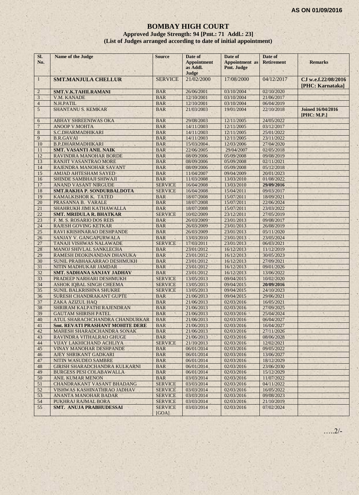## **BOMBAY HIGH COURT**

#### **Approved Judge Strength: 94 [Pmt.: 71 Addl.: 23] (List of Judges arranged according to date of initial appointment)**

| SI.<br>No.     | Name of the Judge                 | <b>Source</b>           | Date of<br><b>Appointment</b><br>as Addl.<br>Judge | Date of<br><b>Appointment</b> as<br>Pmt. Judge | Date of<br><b>Retirement</b> | <b>Remarks</b>                          |
|----------------|-----------------------------------|-------------------------|----------------------------------------------------|------------------------------------------------|------------------------------|-----------------------------------------|
| $\mathbf{1}$   | <b>SMT.MANJULA CHELLUR</b>        | <b>SERVICE</b>          | 21/02/2000                                         | 17/08/2000                                     | 04/12/2017                   | CJ w.e.f.22/08/2016<br>[PHC: Karnataka] |
| $\overline{2}$ | <b>SMT.V.K.TAHILRAMANI</b>        | <b>BAR</b>              | 26/06/2001                                         | 03/10/2004                                     | 02/10/2020                   |                                         |
| 3              | V.M. KANADE                       | <b>BAR</b>              | 12/10/2001                                         | 03/10/2004                                     | 21/06/2017                   |                                         |
| $\overline{4}$ | N.H.PATIL                         | <b>BAR</b>              | 12/10/2001                                         | 03/10/2004                                     | 06/04/2019                   |                                         |
| 5              | <b>SHANTANU S. KEMKAR</b>         | <b>BAR</b>              | 21/03/2003                                         | 19/01/2004                                     | 22/10/2018                   | <b>Joined 16/04/2016</b><br>[PHC: M.P.] |
| 6              | ABHAY SHREENIWAS OKA              | <b>BAR</b>              | 29/08/2003                                         | 12/11/2005                                     | 24/05/2022                   |                                         |
| 7              | <b>ANOOP V.MOHTA</b>              | <b>BAR</b>              | 14/11/2003                                         | 12/11/2005                                     | 03/12/2017                   |                                         |
| 8              | S.C.DHARMADHIKARI                 | <b>BAR</b>              | 14/11/2003                                         | 12/11/2005                                     | 25/01/2022                   |                                         |
| 9              | <b>B.R.GAVAI</b>                  | <b>BAR</b>              | 14/11/2003                                         | 12/11/2005                                     | 23/11/2022                   |                                         |
| 10             | <b>B.P.DHARMADHIKARI</b>          | <b>BAR</b>              | 15/03/2004                                         | 12/03/2006                                     | 27/04/2020                   |                                         |
| 11             | <b>SMT. VASANTI ANIL NAIK</b>     | <b>BAR</b>              | 22/06/2005                                         | 29/04/2007                                     | 02/05/2018                   |                                         |
| 12             | RAVINDRA MANOHAR BORDE            | <b>BAR</b>              | 08/09/2006                                         | 05/09/2008                                     | 09/08/2019                   |                                         |
| 13             | RANJIT VASANTRAO MORE             | <b>BAR</b>              | 08/09/2006                                         | 05/09/2008                                     | 02/11/2021                   |                                         |
| 14             | RAJENDRA MANOHAR SAVANT           | <b>BAR</b>              | 08/09/2006                                         | 05/09/2008                                     | 05/12/2018                   |                                         |
| 15             | AMJAD AHTESHAM SAYED              | <b>BAR</b>              | 11/04/2007                                         | 09/04/2009                                     | 20/01/2023                   |                                         |
| 16             | SHINDE SAMBHAJI SHIWAJI           | <b>BAR</b>              | 11/03/2008                                         | 13/03/2010                                     | 01/08/2022                   |                                         |
| 17             | <b>ANAND VASANT NIRGUDE</b>       | <b>SERVICE</b>          | 16/04/2008                                         | 13/03/2010                                     | 29/09/2016                   |                                         |
| 18             | <b>SMT.RAKHA P. SONDURBALDOTA</b> | <b>SERVICE</b>          | 16/04/2008                                         | 15/04/2011                                     | 09/03/2017                   |                                         |
| 19             | KAMALKISHOR K. TATED              | <b>BAR</b>              | 18/07/2008                                         | 15/07/2011                                     | 18/09/2021                   |                                         |
| 20             | PRASANNA B. VARALE                | <b>BAR</b>              | 18/07/2008                                         | 15/07/2011                                     | 22/06/2024                   |                                         |
| 21             | SHAHRUKH JIMI KATHAWALLA          | <b>BAR</b>              | 18/07/2008                                         | 15/07/2011                                     | 23/03/2022                   |                                         |
| 22             | <b>SMT. MRIDULA R. BHATKAR</b>    | <b>SERVICE</b>          | 10/02/2009                                         | 23/12/2011                                     | 27/05/2019                   |                                         |
| 23             | F. M. S. ROSARIO DOS REIS         | <b>BAR</b>              | 26/03/2009                                         | 23/01/2013                                     | 09/08/2017                   |                                         |
| 24             | <b>RAJESH GOVING KETKAR</b>       | <b>BAR</b>              | 26/03/2009                                         | 23/01/2013                                     | 26/08/2019                   |                                         |
| 25             | RAVI KRISHNARAO DESHPANDE         | <b>BAR</b>              | 26/03/2009                                         | 23/01/2013                                     | 05/11/2020                   |                                         |
| 26             | SANJAY V. GANGAPURWALA            | <b>BAR</b>              | 13/03/2010                                         | 23/01/2013                                     | 23/05/2024                   |                                         |
| 27             | TANAJI VISHWAS NALAWADE           | <b>SERVICE</b>          | 17/03/2011                                         | 23/01/2013                                     | 06/03/2021                   |                                         |
| 28             | MANOJ SHIVLAL SANKLECHA           | <b>BAR</b>              | 23/01/2012                                         | 16/12/2013                                     | 11/12/2019                   |                                         |
| 29             | RAMESH DEOKINANDAN DHANUKA        | <b>BAR</b>              | 23/01/2012                                         | 16/12/2013                                     | 30/05/2023                   |                                         |
| 30             | SUNIL PRABHAKARRAO DESHMUKH       | <b>BAR</b>              | 23/01/2012                                         | 16/12/2013                                     | 27/09/2021                   |                                         |
| 31             | NITIN MADHUKAR JAMDAR             | <b>BAR</b>              | 23/01/2012                                         | 16/12/2013                                     | 09/01/2026                   |                                         |
| 32             | SMT. SADHANA SANJAY JADHAV        | <b>BAR</b>              | 23/01/2012                                         | 16/12/2013                                     | 13/06/2022                   |                                         |
| 33             | PRADEEP NARHARI DESHMUKH          | <b>SERVICE</b>          | 13/05/2013                                         | 09/04/2015                                     | 10/02/2020                   |                                         |
| 34             | ASHOK IQBAL SINGH CHEEMA          | <b>SERVICE</b>          | 13/05/2013                                         | 09/04/2015                                     | 20/09/2016                   |                                         |
| 35             | SUNIL BALKRISHNA SHUKRE           | <b>SERVICE</b>          | 13/05/2013                                         | 09/04/2015                                     | 24/10/2023                   |                                         |
| 36             | SURESH CHANDRAKANT GUPTE          | <b>BAR</b>              | 21/06/2013                                         | 09/04/2015                                     | 29/06/2021                   |                                         |
| 37             | ZAKA AZIZUL HAQ                   | <b>BAR</b>              | 21/06/2013                                         | 02/03/2016                                     | 16/05/2021                   |                                         |
| 38             | SHRIRAM KALPATHI RAJENDRAN        | <b>BAR</b>              | 21/06/2013                                         | 02/03/2016                                     | 27/09/2025                   |                                         |
| 39             | <b>GAUTAM SHIRISH PATEL</b>       | <b>BAR</b>              | 21/06/2013                                         | 02/03/2016                                     | 25/04/2024                   |                                         |
| 40             | ATUL SHARACHCHANDRA CHANDURKAR    | <b>BAR</b>              | 21/06/2013                                         | 02/03/2016                                     | 06/04/2027                   |                                         |
| 41             | Smt. REVATI PRASHANT MOHITE DERE  | <b>BAR</b>              | 21/06/2013                                         | 02/03/2016                                     | 16/04/2027                   |                                         |
| 42             | MAHESH SHARADCHANDRA SONAK        | <b>BAR</b>              | 21/06/2013                                         | 02/03/2016                                     | 27/11/2026                   |                                         |
| 43             | RAVINDRA VITHALRAO GHUGE          | <b>BAR</b>              | 21/06/2013                                         | 02/03/2016                                     | 08/06/2028                   |                                         |
| 44             | VIJAY LAKHICHAND ACHLIYA          | <b>SERVICE</b>          | 21/10/2013                                         | 02/03/2016                                     | 12/02/2021                   |                                         |
| 45             | VINAY MANOHAR DESHPANDE           | <b>BAR</b>              | 06/01/2014                                         | 02/03/2016                                     | 09/05/2022                   |                                         |
| 46             | AJEY SHRIKANT GADKARI             | <b>BAR</b>              | 06/01/2014                                         | 02/03/2016                                     | 13/06/2027                   |                                         |
| 47             | NITIN WASUDEO SAMBRE              | <b>BAR</b>              | 06/01/2014                                         | 02/03/2016                                     | 18/12/2029                   |                                         |
| 48             | GIRISH SHARADCHANDRA KULKARNI     | <b>BAR</b>              | 06/01/2014                                         | 02/03/2016                                     | 23/06/2030                   |                                         |
| 49             | <b>BURGESS PESI COLABAWALLA</b>   | <b>BAR</b>              | 06/01/2014                                         | 02/03/2016                                     | 15/12/2029                   |                                         |
| 50             | <b>ANIL KUMAR MENON</b>           | <b>BAR</b>              | 03/03/2014                                         | 02/03/2016                                     | 11/07/2022                   |                                         |
| 51             | CHANDRAKANT VASANT BHADANG        | <b>SERVICE</b>          | 03/03/2014                                         | 02/03/2016                                     | 04/11/2022                   |                                         |
| 52             | VISHWAS KASHINATHRAO JADHAV       | <b>SERVICE</b>          | 03/03/2014                                         | 02/03/2016                                     | 16/05/2022                   |                                         |
| 53             | ANANTA MANOHAR BADAR              | <b>SERVICE</b>          | 03/03/2014                                         | 02/03/2016                                     | 09/08/2023                   |                                         |
| 54             | PUKHRAJ RAJMAL BORA               | <b>SERVICE</b>          | 03/03/2014                                         | 02/03/2016                                     | 21/10/2019                   |                                         |
| 55             | SMT. ANUJA PRABHUDESSAI           | <b>SERVICE</b><br>[GOA] | 03/03/2014                                         | 02/03/2016                                     | 07/02/2024                   |                                         |

…..2/-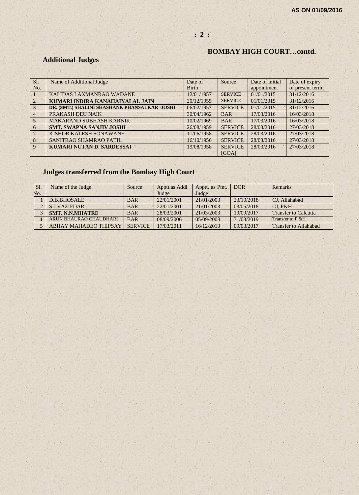## **: 2 :**

## **BOMBAY HIGH COURT…contd.**

## **Additional Judges**

| SI.            | Name of Additional Judge                      | Date of      | Source         | Date of initial | Date of expiry  |
|----------------|-----------------------------------------------|--------------|----------------|-----------------|-----------------|
| No.            |                                               | <b>Birth</b> |                | appointment     | of present term |
|                | KALIDAS LAXMANRAO WADANE                      | 12/01/1957   | <b>SERVICE</b> | 01/01/2015      | 31/12/2016      |
| $\mathcal{L}$  | KUMARI INDIRA KANAHAIYALAL JAIN               | 20/12/1955   | <b>SERVICE</b> | 01/01/2015      | 31/12/2016      |
| $\mathcal{R}$  | DR. (SMT.) SHALINI SHASHANK PHANSALKAR -JOSHI | 06/02/1957   | <b>SERVICE</b> | 01/01/2015      | 31/12/2016      |
| $\overline{4}$ | PRAKASH DEU NAIK                              | 30/04/1962   | <b>BAR</b>     | 17/03/2016      | 16/03/2018      |
| $\overline{5}$ | <b>MAKARAND SUBHASH KARNIK</b>                | 10/02/1969   | <b>BAR</b>     | 17/03/2016      | 16/03/2018      |
| 6              | <b>SMT. SWAPNA SANJIV JOSHI</b>               | 26/08/1959   | <b>SERVICE</b> | 28/03/2016      | 27/03/2018      |
|                | KISHOR KALESH SONAWANE                        | 11/06/1958   | <b>SERVICE</b> | 28/03/2016      | 27/03/2018      |
| $\mathbf{8}$   | SANITRAO SHAMRAO PATIL                        | 16/10/1956   | <b>SERVICE</b> | 28/03/2016      | 27/03/2018      |
| 9              | <b>KUMARI NUTAN D. SARDESSAI</b>              | 19/08/1958   | <b>SERVICE</b> | 28/03/2016      | 27/03/2018      |
|                |                                               |              | [GOA]          |                 |                 |

## **Judges transferred from the Bombay High Court**

| SI. | Name of the Judge            | Source         | Apptt.as Addl. | Apptt. as Pmt. | <b>DOR</b> | Remarks                      |
|-----|------------------------------|----------------|----------------|----------------|------------|------------------------------|
| No. |                              |                | Judge          | Judge          |            |                              |
|     | D.B.BHOSALE                  | <b>BAR</b>     | 22/01/2001     | 21/01/2003     | 23/10/2018 | CJ, Allahabad                |
|     | <b>S.J.VAZIFDAR</b>          | <b>BAR</b>     | 22/01/2001     | 21/01/2003     | 03/05/2018 | CI. P&H                      |
|     | <b>SMT. N.N.MHATRE</b>       | <b>BAR</b>     | 28/03/2001     | 21/03/2003     | 19/09/2017 | <b>Transfer to Calcutta</b>  |
|     | ARUN BHAURAO CHAUDHARI       | <b>BAR</b>     | 08/09/2006     | 05/09/2008     | 31/03/2019 | Transfer to P & H            |
|     | <b>ABHAY MAHADEO THIPSAY</b> | <b>SERVICE</b> | 17/03/2011     | 16/12/2013     | 09/03/2017 | <b>Transfer to Allahabad</b> |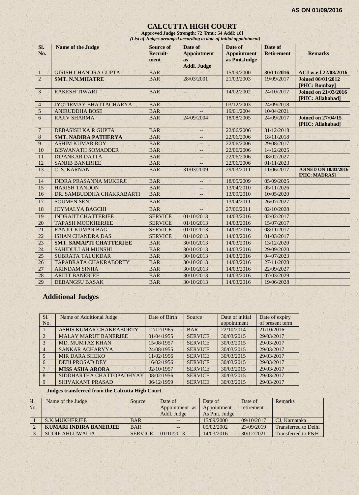#### **CALCUTTA HIGH COURT**

**Approved Judge Strength: 72 [Pmt.: 54 Addl: 18]** *(List of Judges arranged according to date of initial appointment)*

| SI.<br>No.       | <b>Name of the Judge</b>       | <b>Source of</b><br>Recruit-<br>ment | Date of<br><b>Appointment</b><br><b>as</b><br><b>Addl. Judge</b> | Date of<br><b>Appointment</b><br>as Pmt.Judge | Date of<br><b>Retirement</b> | <b>Remarks</b>                                  |
|------------------|--------------------------------|--------------------------------------|------------------------------------------------------------------|-----------------------------------------------|------------------------------|-------------------------------------------------|
| $\mathbf{1}$     | <b>GIRISH CHANDRA GUPTA</b>    | <b>BAR</b>                           |                                                                  | 15/09/2000                                    | 30/11/2016                   | ACJ w.e.f.22/08/2016                            |
| $\overline{2}$   | <b>SMT. N.N.MHATRE</b>         | <b>BAR</b>                           | 28/03/2001                                                       | 21/03/2003                                    | 19/09/2017                   | <b>Joined 06/01/2012</b><br>[PHC: Bombay]       |
| $\overline{3}$   | <b>RAKESH TIWARI</b>           | <b>BAR</b>                           | $\qquad \qquad -$                                                | 14/02/2002                                    | 24/10/2017                   | <b>Joined on 21/03/2016</b><br>[PHC: Allahabad] |
| $\overline{4}$   | JYOTIRMAY BHATTACHARYA         | <b>BAR</b>                           | $-$ .                                                            | 03/12/2003                                    | 24/09/2018                   |                                                 |
| 5                | <b>ANIRUDDHA BOSE</b>          | <b>BAR</b>                           |                                                                  | 19/01/2004                                    | 10/04/2021                   |                                                 |
| $6\overline{6}$  | <b>RAJIV SHARMA</b>            | <b>BAR</b>                           | 24/09/2004                                                       | 18/08/2005                                    | 24/09/2017                   | <b>Joined on 27/04/15</b><br>[PHC: Allahabad]   |
| 7                | <b>DEBASISH KA R GUPTA</b>     | <b>BAR</b>                           | $- -$                                                            | 22/06/2006                                    | 31/12/2018                   |                                                 |
| $\boldsymbol{8}$ | <b>SMT. NADIRA PATHERYA</b>    | <b>BAR</b>                           | $--$                                                             | 22/06/2006                                    | 18/11/2018                   |                                                 |
| 9                | <b>ASHIM KUMAR ROY</b>         | <b>BAR</b>                           | --                                                               | 22/06/2006                                    | 29/08/2017                   |                                                 |
| 10               | <b>BISWANATH SOMADDER</b>      | <b>BAR</b>                           | --                                                               | 22/06/2006                                    | 14/12/2025                   |                                                 |
| 11               | <b>DIPANKAR DATTA</b>          | <b>BAR</b>                           | $--$                                                             | 22/06/2006                                    | 08/02/2027                   |                                                 |
| 12               | <b>SANJIB BANERJEE</b>         | <b>BAR</b>                           | 44                                                               | 22/06/2006                                    | 01/11/2023                   |                                                 |
| 13               | C. S. KARNAN                   | <b>BAR</b>                           | 31/03/2009                                                       | 29/03/2011                                    | 11/06/2017                   | <b>JOINED ON 10/03/2016</b><br>[PHC: MADRAS]    |
| 14               | <b>INDRA PRASANNA MUKERJI</b>  | <b>BAR</b>                           | --                                                               | 18/05/2009                                    | 05/09/2025                   |                                                 |
| 15               | <b>HARISH TANDON</b>           | <b>BAR</b>                           |                                                                  | 13/04/2010                                    | 05/11/2026                   |                                                 |
| 16               | DR. SAMBUDDHA CHAKRABARTI      | <b>BAR</b>                           |                                                                  | 13/09/2010                                    | 10/05/2020                   |                                                 |
| 17               | <b>SOUMEN SEN</b>              | <b>BAR</b>                           | $-$                                                              | 13/04/2011                                    | 26/07/2027                   |                                                 |
| 18               | <b>JOYMALYA BAGCHI</b>         | <b>BAR</b>                           | $-$                                                              | 27/06/2011                                    | 02/10/2028                   |                                                 |
| 19               | <b>INDRAJIT CHATTERJEE</b>     | <b>SERVICE</b>                       | 01/10/2013                                                       | 14/03/2016                                    | 02/02/2017                   |                                                 |
| 20               | <b>TAPASH MOOKHERJEE</b>       | <b>SERVICE</b>                       | 01/10/2013                                                       | 14/03/2016                                    | 15/07/2017                   |                                                 |
| 21               | <b>RANJIT KUMAR BAG</b>        | <b>SERVICE</b>                       | 01/10/2013                                                       | 14/03/2016                                    | 08/11/2017                   |                                                 |
| 22               | <b>ISHAN CHANDRA DAS</b>       | <b>SERVICE</b>                       | 01/10/2013                                                       | 14/03/2016                                    | 01/03/2017                   |                                                 |
| 23               | <b>SMT. SAMAPTI CHATTERJEE</b> | <b>BAR</b>                           | 30/10/2013                                                       | 14/03/2016                                    | 13/12/2020                   |                                                 |
| 24               | SAHIDULLAH MUNSHI              | <b>BAR</b>                           | 30/10/2013                                                       | 14/03/2016                                    | 29/09/2020                   |                                                 |
| 25               | <b>SUBRATA TALUKDAR</b>        | <b>BAR</b>                           | 30/10/2013                                                       | 14/03/2016                                    | 04/07/2023                   |                                                 |
| 26               | <b>TAPABRATA CHAKRABORTY</b>   | <b>BAR</b>                           | 30/10/2013                                                       | 14/03/2016                                    | 27/11/2028                   |                                                 |
| 27               | <b>ARINDAM SINHA</b>           | <b>BAR</b>                           | 30/10/2013                                                       | 14/03/2016                                    | 22/09/2027                   |                                                 |
| 28               | <b>ARIJIT BANERJEE</b>         | <b>BAR</b>                           | 30/10/2013                                                       | 14/03/2016                                    | 07/03/2029                   |                                                 |
| 29               | <b>DEBANGSU BASAK</b>          | <b>BAR</b>                           | 30/10/2013                                                       | 14/03/2016                                    | 19/06/2028                   |                                                 |

## **Additional Judges**

| Sl.<br>No.     | Name of Additional Judge    | Date of Birth | Source         | Date of initial<br>appointment | Date of expiry<br>of present term |
|----------------|-----------------------------|---------------|----------------|--------------------------------|-----------------------------------|
|                | ASHIS KUMAR CHAKRABORTY     | 12/12/1965    | <b>BAR</b>     | 22/10/2014                     | 21/10/2016                        |
|                | <b>MALAY MARUT BANERJEE</b> | 01/04/1955    | <b>SERVICE</b> | 30/03/2015                     | 29/03/2017                        |
| $3 -$          | <b>MD. MUMTAZ KHAN</b>      | 15/08/1957    | <b>SERVICE</b> | 30/03/2015                     | 29/03/2017                        |
| $\overline{4}$ | SANKAR ACHARYYA             | 24/08/1955    | <b>SERVICE</b> | 30/03/2015                     | 29/03/2017                        |
| $\overline{5}$ | <b>MIR DARA SHEKO</b>       | 11/02/1956    | <b>SERVICE</b> | 30/03/2015                     | 29/03/2017                        |
| 6              | <b>DEBI PROSAD DEY</b>      | 16/02/1956    | <b>SERVICE</b> | 30/03/2015                     | 29/03/2017                        |
|                | <b>MISS ASHA ARORA</b>      | 02/10/1957    | <b>SERVICE</b> | 30/03/2015                     | 29/03/2017                        |
| 8              | SIDDHARTHA CHATTOPADHYAY    | 08/02/1956    | <b>SERVICE</b> | 30/03/2015                     | 29/03/2017                        |
| 9              | <b>SHIVAKANT PRASAD</b>     | 06/12/1959    | <b>SERVICE</b> | 30/03/2015                     | 29/03/2017                        |

#### **Judges transferred from the Calcutta High Court**

| <b>51.</b> | Name of the Judge             | Source         | Date of        | Date of       | Date of    | Remarks                     |
|------------|-------------------------------|----------------|----------------|---------------|------------|-----------------------------|
| No.        |                               |                | Appointment as | Appointment   | retirement |                             |
|            |                               |                | Addl. Judge    | As Pmt. Judge |            |                             |
|            | S.K.MUKHERJEE                 | <b>BAR</b>     |                | 15/09/2000    | 09/10/2017 | CJ. Karnataka               |
|            | <b>KUMARI INDIRA BANERJEE</b> | <b>BAR</b>     |                | 05/02/2002    | 23/09/2019 | <b>Transferred to Delhi</b> |
|            | <b>SUDIP AHLUWALIA</b>        | <b>SERVICE</b> | 01/10/2013     | 14/03/2016    | 30/12/2021 | Transferred to P&H          |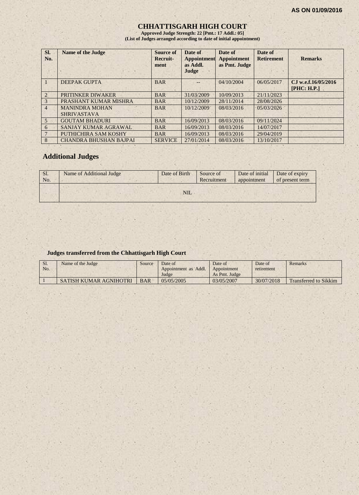#### **CHHATTISGARH HIGH COURT**

**Approved Judge Strength: 22 [Pmt.: 17 Addl.: 05] (List of Judges arranged according to date of initial appointment)**

| Sl.<br>No.     | <b>Name of the Judge</b>                    | Source of<br>Recruit-<br>ment | Date of<br><b>Appointment</b><br>as Addl.<br>Judge | Date of<br><b>Appointment</b><br>as Pmt. Judge | Date of<br><b>Retirement</b> | <b>Remarks</b>                     |
|----------------|---------------------------------------------|-------------------------------|----------------------------------------------------|------------------------------------------------|------------------------------|------------------------------------|
|                | <b>DEEPAK GUPTA</b>                         | <b>BAR</b>                    |                                                    | 04/10/2004                                     | 06/05/2017                   | CJ w.e.f.16/05/2016<br>[PHC: H.P.] |
| $\mathcal{L}$  | PRITINKER DIWAKER                           | <b>BAR</b>                    | 31/03/2009                                         | 10/09/2013                                     | 21/11/2023                   |                                    |
| 3              | PRASHANT KUMAR MISHRA                       | <b>BAR</b>                    | 10/12/2009                                         | 28/11/2014                                     | 28/08/2026                   |                                    |
| $\overline{4}$ | <b>MANINDRA MOHAN</b><br><b>SHRIVASTAVA</b> | <b>BAR</b>                    | 10/12/2009                                         | 08/03/2016                                     | 05/03/2026                   |                                    |
| $\overline{5}$ | <b>GOUTAM BHADURI</b>                       | <b>BAR</b>                    | 16/09/2013                                         | 08/03/2016                                     | 09/11/2024                   |                                    |
| 6              | SANJAY KUMAR AGRAWAL                        | <b>BAR</b>                    | 16/09/2013                                         | 08/03/2016                                     | 14/07/2017                   |                                    |
|                | PUTHICHIRA SAM KOSHY                        | <b>BAR</b>                    | 16/09/2013                                         | 08/03/2016                                     | 29/04/2019                   |                                    |
| 8              | <b>CHANDRA BHUSHAN BAJPAI</b>               | <b>SERVICE</b>                | 27/01/2014                                         | 08/03/2016                                     | 13/10/2017                   |                                    |

## **Additional Judges**

| Sl.<br>No. | Name of Additional Judge | Date of Birth | Source of<br>Recruitment | Date of initial Date of expiry<br>appointment | of present term |
|------------|--------------------------|---------------|--------------------------|-----------------------------------------------|-----------------|
|            |                          | <b>NIL</b>    |                          |                                               |                 |

#### **Judges transferred from the Chhattisgarh High Court**

| S1. | Name of the Judge      | Source     | Date of              | Date of       | Date of    | Remarks                      |
|-----|------------------------|------------|----------------------|---------------|------------|------------------------------|
| No. |                        |            | Appointment as Addl. | Appointment   | retirement |                              |
|     |                        |            | Judge                | As Pmt. Judge |            |                              |
|     | SATISH KUMAR AGNIHOTRI | <b>BAR</b> | 05/05/2005           | 03/05/2007    | 30/07/2018 | <b>Transferred to Sikkim</b> |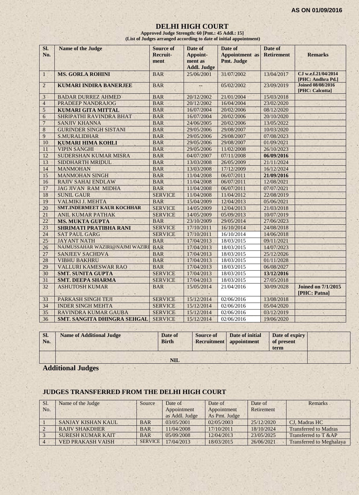#### **DELHI HIGH COURT**

**Approved Judge Strength: 60 [Pmt.: 45 Addl.: 15] (List of Judges arranged according to date of initial appointment)**

| Si.<br>No.     | <b>Name of the Judge</b>        | <b>Source of</b><br>Recruit-<br>ment | Date of<br>Appoint-<br>ment as<br><b>Addl. Judge</b> | Date of<br><b>Appointment</b> as<br>Pmt. Judge | Date of<br><b>Retirement</b> | <b>Remarks</b>                              |
|----------------|---------------------------------|--------------------------------------|------------------------------------------------------|------------------------------------------------|------------------------------|---------------------------------------------|
| $\mathbf{1}$   | <b>MS. GORLA ROHINI</b>         | <b>BAR</b>                           | 25/06/2001                                           | 31/07/2002                                     | 13/04/2017                   | CJ w.e.f.21/04/2014<br>[PHC: Andhra Pd.]    |
| $\overline{2}$ | <b>KUMARI INDIRA BANERJEE</b>   | <b>BAR</b>                           | $-$                                                  | 05/02/2002                                     | 23/09/2019                   | <b>Joined 08/08/2016</b><br>[PHC: Calcutta] |
| 3              | <b>BADAR DURREZ AHMED</b>       | <b>BAR</b>                           | 20/12/2002                                           | 21/01/2004                                     | 15/03/2018                   |                                             |
| $\overline{4}$ | PRADEEP NANDRAJOG               | <b>BAR</b>                           | 20/12/2002                                           | 16/04/2004                                     | 23/02/2020                   |                                             |
| $\overline{5}$ | <b>KUMARI GITA MITTAL</b>       | <b>BAR</b>                           | 16/07/2004                                           | 20/02/2006                                     | 08/12/2020                   |                                             |
| 6              | SHRIPATHI RAVINDRA BHAT         | <b>BAR</b>                           | 16/07/2004                                           | 20/02/2006                                     | 20/10/2020                   |                                             |
| $\overline{7}$ | <b>SANJIV KHANNA</b>            | <b>BAR</b>                           | 24/06/2005                                           | 20/02/2006                                     | 13/05/2022                   |                                             |
| 8              | <b>GURINDER SINGH SISTANI</b>   | <b>BAR</b>                           | 29/05/2006                                           | 29/08/2007                                     | 10/03/2020                   |                                             |
| 9              | <b>S.MURALIDHAR</b>             | <b>BAR</b>                           | 29/05/2006                                           | 29/08/2007                                     | 07/08/2023                   |                                             |
| 10             | <b>KUMARI HIMA KOHLI</b>        | <b>BAR</b>                           | 29/05/2006                                           | 29/08/2007                                     | 01/09/2021                   |                                             |
| 11             | <b>VIPIN SANGHI</b>             | <b>BAR</b>                           | 29/05/2006                                           | 11/02/2008                                     | 26/10/2023                   |                                             |
| 12             | SUDERSHAN KUMAR MISRA           | <b>BAR</b>                           | 04/07/2007                                           | 07/11/2008                                     | 06/09/2016                   |                                             |
| 13             | SIDDHARTH MRIDUL                | <b>BAR</b>                           | 13/03/2008                                           | 26/05/2009                                     | 21/11/2024                   |                                             |
| 14             | <b>MANMOHAN</b>                 | <b>BAR</b>                           | 13/03/2008                                           | 17/12/2009                                     | 16/12/2024                   |                                             |
| 15             | <b>MANMOHAN SINGH</b>           | <b>BAR</b>                           | 11/04/2008                                           | 06/07/2011                                     | 21/09/2016                   |                                             |
| 16             | <b>RAJIV SAHAI ENDLAW</b>       | <b>BAR</b>                           | 11/04/2008                                           | 06/07/2011                                     | 12/08/2021                   |                                             |
| 17             | <b>JAG JIVAN RAM MIDHA</b>      | <b>BAR</b>                           | 11/04/2008                                           | 06/07/2011                                     | 07/07/2021                   |                                             |
| 18             | <b>SUNIL GAUR</b>               | <b>SERVICE</b>                       | 11/04/2008                                           | 11/04/2012                                     | 22/08/2019                   |                                             |
| 19             | <b>VALMIKI J. MEHTA</b>         | <b>BAR</b>                           | 15/04/2009                                           | 12/04/2013                                     | 05/06/2021                   |                                             |
| 20             | SMT.INDERMEET KAUR KOCHHAR      | <b>SERVICE</b>                       | 14/05/2009                                           | 12/04/2013                                     | 21/03/2018                   |                                             |
| 21             | <b>ANIL KUMAR PATHAK</b>        | <b>SERVICE</b>                       | 14/05/2009                                           | 05/09/2013                                     | 10/07/2019                   |                                             |
| 22             | <b>MS. MUKTA GUPTA</b>          | <b>BAR</b>                           | 23/10/2009                                           | 29/05/2014                                     | 27/06/2023                   |                                             |
| 23             | <b>SHRIMATI PRATIBHA RANI</b>   | <b>SERVICE</b>                       | 17/10/2011                                           | 16/10/2014                                     | 24/08/2018                   |                                             |
| 24             | <b>SAT PAUL GARG</b>            | <b>SERVICE</b>                       | 17/10/2011                                           | 16/10/2014                                     | 14/06/2018                   |                                             |
| 25             | <b>JAYANT NATH</b>              | <b>BAR</b>                           | 17/04/2013                                           | 18/03/2015                                     | 09/11/2021                   |                                             |
| 26             | NAJMUSSAHAR WAZIRI@NAJMI WAZIRI | <b>BAR</b>                           | 17/04/2013                                           | 18/03/2015                                     | 14/07/2023                   |                                             |
| 27             | <b>SANJEEV SACHDVA</b>          | <b>BAR</b>                           | 17/04/2013                                           | 18/03/2015                                     | 25/12/2026                   |                                             |
| 28             | <b>VIBHU BAKHRU</b>             | <b>BAR</b>                           | 17/04/2013                                           | 18/03/2015                                     | 01/11/2028                   |                                             |
| 29             | <b>VALLURI KAMESWAR RAO</b>     | <b>BAR</b>                           | 17/04/2013                                           | 18/03/2015                                     | 06/08/2027                   |                                             |
| 30             | <b>SMT. SUNITA GUPTA</b>        | <b>SERVICE</b>                       | 17/04/2013                                           | 18/03/2015                                     | 13/12/2016                   |                                             |
| 31             | <b>SMT. DEEPA SHARMA</b>        | <b>SERVICE</b>                       | 17/04/2013                                           | 18/03/2015                                     | 27/05/2018                   |                                             |
| 32             | <b>ASHUTOSH KUMAR</b>           | <b>BAR</b>                           | 15/05/2014                                           | 21/04/2016                                     | 30/09/2028                   | <b>Joined on 7/1/2015</b><br>[PHC: Patna]   |
| 33             | PARKASH SINGH TEJI              | <b>SERVICE</b>                       | 15/12/2014                                           | 02/06/2016                                     | 13/08/2018                   |                                             |
| 34             | <b>INDER SINGH MEHTA</b>        | <b>SERVICE</b>                       | 15/12/2014                                           | 02/06/2016                                     | 05/04/2020                   |                                             |
| 35             | RAVINDRA KUMAR GAUBA            | <b>SERVICE</b>                       | 15/12/2014                                           | 02/06/2016                                     | 03/12/2019                   |                                             |
| 36             | SMT. SANGITA DHINGRA SEHGAL     | <b>SERVICE</b>                       | 15/12/2014                                           | 02/06/2016                                     | 19/06/2020                   |                                             |

| term       |  |
|------------|--|
| <b>NIL</b> |  |

**Additional Judges**

## **JUDGES TRANSFERRED FROM THE DELHI HIGH COURT**

| Sl. | Name of the Judge        | Source         | Date of                    | Date of       | Date of    | Remarks                         |
|-----|--------------------------|----------------|----------------------------|---------------|------------|---------------------------------|
| No. |                          |                | Appointment<br>Appointment |               | Retirement |                                 |
|     |                          |                | as Addl. Judge             | As Pmt. Judge |            |                                 |
|     | SANJAY KISHAN KAUL       | <b>BAR</b>     | 03/05/2001                 | 02/05/2003    | 25/12/2020 | CJ, Madras HC                   |
|     | <b>RAJIV SHAKDHER</b>    | <b>BAR</b>     | 11/04/2008                 | 17/10/2011    | 18/10/2024 | <b>Transferred to Madras</b>    |
|     | <b>SURESH KUMAR KAIT</b> | <b>BAR</b>     | 05/09/2008                 | 12/04/2013    | 23/05/2025 | Transferred to T &AP            |
|     | <b>VED PRAKASH VAISH</b> | <b>SERVICE</b> | 17/04/2013                 | 18/03/2015    | 26/06/2021 | <b>Transferred to Meghalaya</b> |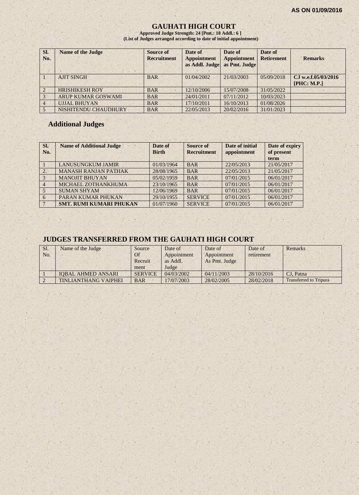## **GAUHATI HIGH COURT**

**Approved Judge Strength: 24 [Pmt.: 18 Addl.: 6 ] (List of Judges arranged according to date of initial appointment)**

| SI.<br>No.     | <b>Name of the Judge</b>  | Source of<br><b>Recruitment</b> | Date of<br><b>Appointment</b><br>as Addl. Judge | Date of<br><b>Appointment</b><br>as Pmt. Judge | Date of<br><b>Retirement</b> | <b>Remarks</b>                     |
|----------------|---------------------------|---------------------------------|-------------------------------------------------|------------------------------------------------|------------------------------|------------------------------------|
|                | <b>AJIT SINGH</b>         | <b>BAR</b>                      | 01/04/2002                                      | 21/03/2003                                     | 05/09/2018                   | CJ w.e.f.05/03/2016<br>[PHC: M.P.] |
| $\mathcal{L}$  | <b>HRISHIKESH ROY</b>     | <b>BAR</b>                      | 12/10/2006                                      | 15/07/2008                                     | 31/05/2022                   |                                    |
| $\overline{3}$ | <b>ARUP KUMAR GOSWAMI</b> | <b>BAR</b>                      | 24/01/2011                                      | 07/11/2012                                     | 10/03/2023                   |                                    |
| $\overline{4}$ | <b>UJJAL BHUYAN</b>       | <b>BAR</b>                      | 17/10/2011                                      | 16/10/2013                                     | 01/08/2026                   |                                    |
|                | NISHITENDU CHAUDHURY      | <b>BAR</b>                      | 22/05/2013                                      | 20/02/2016                                     | 31/01/2023                   |                                    |

#### **Additional Judges**

| SI.<br>No.     | <b>Name of Additional Judge</b> | Date of<br><b>Birth</b> | Source of<br><b>Recruitment</b> | Date of initial<br>appointment | Date of expiry<br>of present<br>term |
|----------------|---------------------------------|-------------------------|---------------------------------|--------------------------------|--------------------------------------|
|                | <b>LANUSUNGKUM JAMIR</b>        | 01/03/1964              | <b>BAR</b>                      | 22/05/2013                     | 21/05/2017                           |
| 2.             | <b>MANASH RANJAN PATHAK</b>     | 28/08/1965              | <b>BAR</b>                      | 22/05/2013                     | 21/05/2017                           |
| $\overline{3}$ | <b>MANOJIT BHUYAN</b>           | 05/02/1959              | <b>BAR</b>                      | 07/01/2015                     | 06/01/2017                           |
| $\overline{4}$ | MICHAEL ZOTHANKHUMA             | 23/10/1965              | <b>BAR</b>                      | 07/01/2015                     | 06/01/2017                           |
| $5^{\circ}$    | <b>SUMAN SHYAM</b>              | 12/06/1969              | <b>BAR</b>                      | 07/01/2015                     | 06/01/2017                           |
| 6              | PARAN KUMAR PHUKAN              | 29/10/1955              | <b>SERVICE</b>                  | 07/01/2015                     | 06/01/2017                           |
|                | <b>SMT. RUMI KUMARI PHUKAN</b>  | 01/07/1960              | <b>SERVICE</b>                  | 07/01/2015                     | 06/01/2017                           |

## **JUDGES TRANSFERRED FROM THE GAUHATI HIGH COURT**

| SI. | Name of the Judge           | Source         | Date of     | Date of       | Date of    | Remarks                       |
|-----|-----------------------------|----------------|-------------|---------------|------------|-------------------------------|
| No. |                             | Of             | Appointment | Appointment   | retirement |                               |
|     |                             | Recruit        | as Addl.    | As Pmt. Judge |            |                               |
|     |                             | ment           | Judge       |               |            |                               |
|     | <b>IOBAL AHMED ANSARI</b>   | <b>SERVICE</b> | 04/03/2002  | 04/11/2003    | 28/10/2016 | CJ. Patna                     |
|     | <b>TINLIANTHANG VAIPHEI</b> | <b>BAR</b>     | 17/07/2003  | 28/02/2005    | 28/02/2018 | <b>Transferred to Tripura</b> |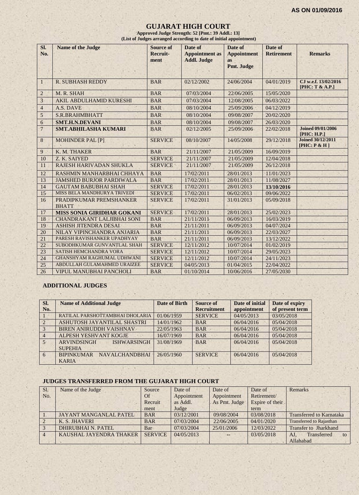#### **GUJARAT HIGH COURT**

**Approved Judge Strength: 52 [Pmt.: 39 Addl.: 13] (List of Judges arranged according to date of initial appointment)**

| SI.<br>No.      | <b>Name of the Judge</b>                | Source of<br>Recruit- | Date of<br><b>Appointment</b> as | Date of<br><b>Appointment</b> | Date of<br><b>Retirement</b> | <b>Remarks</b>                           |
|-----------------|-----------------------------------------|-----------------------|----------------------------------|-------------------------------|------------------------------|------------------------------------------|
|                 |                                         | ment                  | <b>Addl. Judge</b>               | as<br>Pmt. Judge              |                              |                                          |
|                 |                                         |                       |                                  |                               |                              |                                          |
| $\mathbf{1}$    | <b>R. SUBHASH REDDY</b>                 | <b>BAR</b>            | 02/12/2002                       | 24/06/2004                    | 04/01/2019                   | CJ w.e.f. 13/02/2016<br>[PHC: T & A.P.]  |
| $\overline{2}$  | M. R. SHAH                              | <b>BAR</b>            | 07/03/2004                       | 22/06/2005                    | 15/05/2020                   |                                          |
| 3               | <b>AKIL ABDULHAMID KURESHI</b>          | <b>BAR</b>            | 07/03/2004                       | 12/08/2005                    | 06/03/2022                   |                                          |
| $\overline{4}$  | A.S. DAVE                               | <b>BAR</b>            | 08/10/2004                       | 25/09/2006                    | 04/12/2019                   |                                          |
| 5               | S.R.BRAHMBHATT                          | <b>BAR</b>            | 08/10/2004                       | 09/08/2007                    | 20/02/2020                   |                                          |
| 6               | <b>SMT.H.N.DEVANI</b>                   | <b>BAR</b>            | 08/10/2004                       | 09/08/2007                    | 26/03/2020                   |                                          |
| $\overline{7}$  | <b>SMT.ABHILASHA KUMARI</b>             | <b>BAR</b>            | 02/12/2005                       | 25/09/2006                    | 22/02/2018                   | <b>Joined 09/01/2006</b><br>[PHC: H.P.]  |
| 8               | <b>MOHINDER PAL [P]</b><br><b>SCI</b>   | <b>SERVICE</b>        | 08/10/2007                       | 14/05/2008                    | 29/12/2018                   | <b>Joined 30/12/2011</b><br>[PHC: P & H] |
| 9               | K. M. THAKER                            | <b>BAR</b>            | 21/11/2007                       | 21/05/2009                    | 16/09/2019                   |                                          |
| 10              | Z. K. SAIYED                            | <b>SERVICE</b>        | 21/11/2007                       | 21/05/2009                    | 12/04/2018                   |                                          |
| 11              | RAJESH HARIVADAN SHUKLA                 | <b>SERVICE</b>        | 21/11/2007                       | 21/05/2009                    | 26/12/2018                   |                                          |
| 12              | RASHMIN MANHARBHAI CHHAYA               | <b>BAR</b>            | 17/02/2011                       | 28/01/2013                    | 11/01/2023                   |                                          |
| 13              | <b>JAMSHED BURJOR PARDIWALA</b>         | <b>BAR</b>            | 17/02/2011                       | 28/01/2013                    | 11/08/2027                   |                                          |
| 14              | <b>GAUTAM BABUBHAI SHAH</b>             | <b>SERVICE</b>        | 17/02/2011                       | 28/01/2013                    | 13/10/2016                   |                                          |
| 15 <sub>1</sub> | MISS BELA MANDHURYA TRIVEDI             | <b>SERVICE</b>        | 17/02/2011                       | 06/02/2013                    | 09/06/2022                   |                                          |
| 16              | PRADIPKUMAR PREMSHANKER<br><b>BHATT</b> | <b>SERVICE</b>        | 17/02/2011                       | 31/01/2013                    | 05/09/2018                   |                                          |
| 17              | <b>MISS SONIA GIRIDHAR GOKANI</b>       | <b>SERVICE</b>        | 17/02/2011                       | 28/01/2013                    | 25/02/2023                   |                                          |
| 18              | <b>CHANDRAKANT LALJIBHAI SONI</b>       | <b>BAR</b>            | 21/11/2011                       | 06/09/2013                    | 16/03/2019                   |                                          |
| 19              | ASHISH JITENDRA DESAI                   | <b>BAR</b>            | 21/11/2011                       | 06/09/2013                    | 04/07/2024                   |                                          |
| 20              | NILAY VIPINCHANDRA ANJARIA              | <b>BAR</b>            | 21/11/2011                       | 06/09/2013                    | 22/03/2027                   |                                          |
| 21              | PARESH RAVISHANKER UPADHYAY             | <b>BAR</b>            | 21/11/2011                       | 06/09/2013                    | 13/12/2022                   |                                          |
| 22              | SUBODHKUMAR GUNVANTLAL SHAH             | <b>SERVICE</b>        | 12/11/2012                       | 10/07/2014                    | 01/02/2019                   |                                          |
| 23              | SATISH HEMCHANDRA VORA                  | <b>SERVICE</b>        | 12/11/2012                       | 10/07/2014                    | 29/05/2023                   |                                          |
| 24              | <b>GHANSHYAM RAGHUMAL UDHWANI</b>       | <b>SERVICE</b>        | 12/11/2012                       | 10/07/2014                    | 24/11/2023                   |                                          |
| 25              | ABDULLAH GULAMAHMED URAIZEE             | <b>SERVICE</b>        | 04/05/2013                       | 01/04/2015                    | 22/04/2022                   |                                          |
| 26              | <b>VIPUL MANUBHAI PANCHOLI</b>          | <b>BAR</b>            | 01/10/2014                       | 10/06/2016                    | 27/05/2030                   |                                          |

#### **ADDITIONAL JUDGES**

| SI.<br>No.    | <b>Name of Additional Judge</b>                            | Date of Birth | Source of<br><b>Recruitment</b> | Date of initial<br>appointment | Date of expiry<br>of present term |
|---------------|------------------------------------------------------------|---------------|---------------------------------|--------------------------------|-----------------------------------|
|               | RATILAL PARSHOTTAMBHAI DHOLARIA                            | 01/06/1959    | <b>SERVICE</b>                  | 04/05/2013                     | 03/05/2018                        |
| $\mathcal{L}$ | ASHUTOSH JAYANTILAL SHASTRI                                | 14/01/1962    | <b>BAR</b>                      | 06/04/2016                     | 05/04/2018                        |
| $\mathcal{R}$ | <b>BIREN ANIRUDDH VAISHNAV</b>                             | 22/05/1963    | <b>BAR</b>                      | 06/04/2016                     | 05/04/2018                        |
|               | ALPESH YESHVANT KOGJE                                      | 16/07/1969    | <b>BAR</b>                      | 06/04/2016                     | 05/04/2018                        |
| $5 -$         | <b>ARVINDSINGH</b><br><b>ISHWARSINGH</b><br><b>SUPEHIA</b> | 31/08/1969    | <b>BAR</b>                      | 06/04/2016                     | 05/04/2018                        |
| 6             | <b>NAVALCHANDBHAI</b><br><b>BIPINKUMAR</b><br><b>KARIA</b> | 26/05/1960    | <b>SERVICE</b>                  | 06/04/2016                     | 05/04/2018                        |

#### **JUDGES TRANSFERRED FROM THE GUJARAT HIGH COURT**

| Sl. | Name of the Judge             | Source         | Date of     | Date of       | Date of         | <b>Remarks</b>                  |
|-----|-------------------------------|----------------|-------------|---------------|-----------------|---------------------------------|
| No. |                               | Of             | Appointment | Appointment   | Retirement/     |                                 |
|     |                               | Recruit        | as Addl.    | As Pmt. Judge | Expire of their |                                 |
|     |                               | ment           | Judge       |               | term            |                                 |
|     | <b>JAYANT MANGANLAL PATEL</b> | <b>BAR</b>     | 03/12/2001  | 09/08/2004    | 03/08/2018      | <b>Transferred to Karnataka</b> |
|     | K. S. JHAVERI                 | <b>BAR</b>     | 07/03/2004  | 22/06/2005    | 04/01/2020      | <b>Transferred to Rajasthan</b> |
|     | <b>DHIRUBHAI N. PATEL</b>     | Bar            | 07/03/2004  | 25/01/2006    | 12/03/2022      | <b>Transfer to Jharkhand</b>    |
|     | KAUSHAL JAYENDRA THAKER       | <b>SERVICE</b> | 04/05/2013  | $\sim$        | 03/05/2018      | Transferred<br>AJ.<br>to        |
|     |                               |                |             |               |                 | Allahabad                       |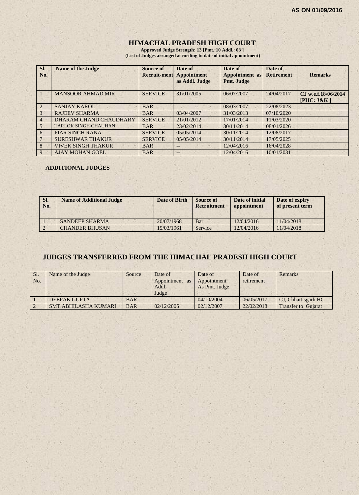## **HIMACHAL PRADESH HIGH COURT**

**Approved Judge Strength: 13 [Pmt.:10 Addl.: 03 ] (List of Judges arranged according to date of initial appointment)**

| SI.<br>No.     | <b>Name of the Judge</b>    | <b>Source of</b><br>Recruit-ment | Date of<br><b>Appointment</b><br>as Addl. Judge | Date of<br><b>Appointment</b> as<br>Pmt. Judge | Date of<br><b>Retirement</b> | <b>Remarks</b>                     |
|----------------|-----------------------------|----------------------------------|-------------------------------------------------|------------------------------------------------|------------------------------|------------------------------------|
|                | <b>MANSOOR AHMAD MIR</b>    | <b>SERVICE</b>                   | 31/01/2005                                      | 06/07/2007                                     | 24/04/2017                   | C.I w.e.f.18/06/2014<br>[PHC: J&K] |
|                | <b>SANJAY KAROL</b>         | <b>BAR</b>                       | $-$                                             | 08/03/2007                                     | 22/08/2023                   |                                    |
| $\mathcal{Z}$  | <b>RAJEEV SHARMA</b>        | <b>BAR</b>                       | 03/04/2007                                      | 31/03/2013                                     | 07/10/2020                   |                                    |
| $\overline{4}$ | DHARAM CHAND CHAUDHARY      | <b>SERVICE</b>                   | 21/01/2012                                      | 17/01/2014                                     | 11/03/2020                   |                                    |
| 5              | <b>TARLOK SINGH CHAUHAN</b> | <b>BAR</b>                       | 23/02/2014                                      | 30/11/2014                                     | 08/01/2026                   |                                    |
| 6              | <b>PIAR SINGH RANA</b>      | <b>SERVICE</b>                   | 05/05/2014                                      | 30/11/2014                                     | 12/08/2017                   |                                    |
|                | <b>SURESHWAR THAKUR</b>     | <b>SERVICE</b>                   | 05/05/2014                                      | 30/11/2014                                     | 17/05/2025                   |                                    |
| 8              | <b>VIVEK SINGH THAKUR</b>   | <b>BAR</b>                       | $- -$                                           | 12/04/2016                                     | 16/04/2028                   |                                    |
| 9              | <b>AJAY MOHAN GOEL</b>      | <b>BAR</b>                       | $- -$                                           | 12/04/2016                                     | 10/01/2031                   |                                    |

#### **ADDITIONAL JUDGES**

| SI.<br>No. | <b>Name of Additional Judge</b> | Date of Birth | <b>Source of</b><br><b>Recruitment</b> | Date of initial<br>appointment | Date of expiry<br>of present term |
|------------|---------------------------------|---------------|----------------------------------------|--------------------------------|-----------------------------------|
|            | <b>SANDEEP SHARMA</b>           | 20/07/1968    | Bar                                    | 12/04/2016                     | 11/04/2018                        |
|            | <b>CHANDER BHUSAN</b>           | 15/03/1961    | Service                                | 12/04/2016                     | 11/04/2018                        |

## **JUDGES TRANSFERRED FROM THE HIMACHAL PRADESH HIGH COURT**

| Sl.<br>No. | Name of the Judge           | Source     | Date of<br>Appointment<br>as<br>Addl.<br>Judge | Date of<br>Appointment<br>As Pmt. Judge | Date of<br>retirement | Remarks                    |
|------------|-----------------------------|------------|------------------------------------------------|-----------------------------------------|-----------------------|----------------------------|
|            | <b>DEEPAK GUPTA</b>         | <b>BAR</b> | $--$                                           | 04/10/2004                              | 06/05/2017            | CJ, Chhattisgarh HC        |
|            | <b>SMT.ABHILASHA KUMARI</b> | <b>BAR</b> | 02/12/2005                                     | 02/12/2007                              | 22/02/2018            | <b>Transfer to Guiarat</b> |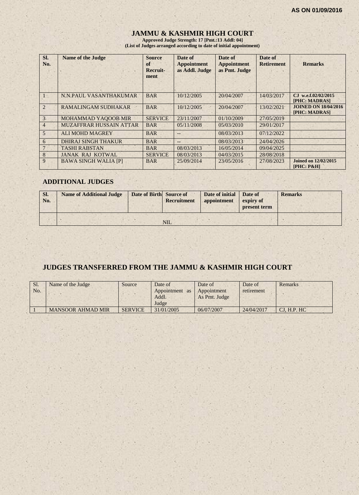## **JAMMU & KASHMIR HIGH COURT**

**Approved Judge Strength: 17 [Pmt.:13 Addl: 04] (List of Judges arranged according to date of initial appointment)**

| Sl.<br>No.     | <b>Name of the Judge</b>       | <b>Source</b><br>of<br>Recruit-<br>ment | Date of<br><b>Appointment</b><br>as Addl. Judge | Date of<br><b>Appointment</b><br>as Pmt. Judge | Date of<br><b>Retirement</b> | <b>Remarks</b>                               |
|----------------|--------------------------------|-----------------------------------------|-------------------------------------------------|------------------------------------------------|------------------------------|----------------------------------------------|
|                | N.N.PAUL VASANTHAKUMAR         | <b>BAR</b>                              | 10/12/2005                                      | 20/04/2007                                     | 14/03/2017                   | C.I w.e.f.02/02/2015<br>[PHC: MADRAS]        |
| $\overline{2}$ | <b>RAMALINGAM SUDHAKAR</b>     | <b>BAR</b>                              | 10/12/2005                                      | 20/04/2007                                     | 13/02/2021                   | <b>JOINED ON 18/04/2016</b><br>[PHC: MADRAS] |
| 3 <sub>1</sub> | <b>MOHAMMAD YAQOOB MIR</b>     | <b>SERVICE</b>                          | 23/11/2007                                      | 01/10/2009                                     | 27/05/2019                   |                                              |
| $\overline{4}$ | <b>MUZAFFRAR HUSSAIN ATTAR</b> | <b>BAR</b>                              | 05/11/2008                                      | 05/03/2010                                     | 29/01/2017                   |                                              |
| $\overline{5}$ | <b>ALI MOHD MAGREY</b>         | <b>BAR</b>                              |                                                 | 08/03/2013                                     | 07/12/2022                   |                                              |
| 6              | <b>DHIRAJ SINGH THAKUR</b>     | <b>BAR</b>                              | $--$                                            | 08/03/2013                                     | 24/04/2026                   |                                              |
|                | <b>TASHI RABSTAN</b>           | <b>BAR</b>                              | 08/03/2013                                      | 16/05/2014                                     | 09/04/2025                   |                                              |
| 8              | <b>JANAK RAJ KOTWAL</b>        | <b>SERVICE</b>                          | 08/03/2013                                      | 04/03/2015                                     | 28/08/2018                   |                                              |
| 9              | <b>BAWA SINGH WALIA [P]</b>    | <b>BAR</b>                              | 25/09/2014                                      | 23/05/2016                                     | 27/08/2023                   | <b>Joined on 12/02/2015</b><br>$[PHC: P\&H]$ |

#### **ADDITIONAL JUDGES**

| SI.<br>No. | <b>Name of Additional Judge</b> | Date of Birth Source of | <b>Recruitment</b> | Date of initial<br>appointment | Date of<br>expiry of<br>present term | <b>Remarks</b> |
|------------|---------------------------------|-------------------------|--------------------|--------------------------------|--------------------------------------|----------------|
|            |                                 |                         | <b>NIL</b>         |                                |                                      |                |

## **JUDGES TRANSFERRED FROM THE JAMMU & KASHMIR HIGH COURT**

| Sl.<br>No. | Name of the Judge        | Source         | Date of<br>Appointment<br><b>as</b><br>Addl.<br>Judge | Date of<br>Appointment<br>As Pmt. Judge | Date of<br>retirement | Remarks      |
|------------|--------------------------|----------------|-------------------------------------------------------|-----------------------------------------|-----------------------|--------------|
|            | <b>MANSOOR AHMAD MIR</b> | <b>SERVICE</b> | 31/01/2005                                            | 06/07/2007                              | 24/04/2017            | CI. H.P. H C |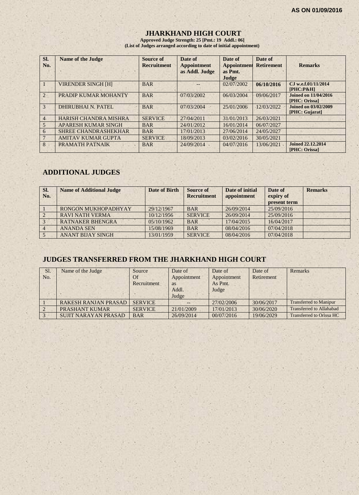## **JHARKHAND HIGH COURT**

**Approved Judge Strength: 25 [Pmt.: 19 Addl.: 06] (List of Judges arranged according to date of initial appointment)**

| SI.<br>No.     | <b>Name of the Judge</b>     | Source of<br><b>Recruitment</b> | Date of<br><b>Appointment</b><br>as Addl. Judge | Date of<br><b>Appointment</b><br>as Pmt.<br>Judge | Date of<br><b>Retirement</b> | <b>Remarks</b>                            |
|----------------|------------------------------|---------------------------------|-------------------------------------------------|---------------------------------------------------|------------------------------|-------------------------------------------|
|                | <b>VIRENDER SINGH [H]</b>    | <b>BAR</b>                      |                                                 | 02/07/2002                                        | 06/10/2016                   | CJ w.e.f.01/11/2014<br>$[PHC: P\&H]$      |
| $\overline{2}$ | PRADIP KUMAR MOHANTY         | <b>BAR</b>                      | 07/03/2002                                      | 06/03/2004                                        | 09/06/2017                   | Joined on 11/04/2016<br>[PHC: Orissa]     |
| 3              | <b>DHIRUBHAI N. PATEL</b>    | <b>BAR</b>                      | 07/03/2004                                      | 25/01/2006                                        | 12/03/2022                   | Joined on 03/02/2009<br>[PHC: Gujarat]    |
| 4              | <b>HARISH CHANDRA MISHRA</b> | <b>SERVICE</b>                  | 27/04/2011                                      | 31/01/2013                                        | 26/03/2021                   |                                           |
| 5              | <b>APARESH KUMAR SINGH</b>   | <b>BAR</b>                      | 24/01/2012                                      | 16/01/2014                                        | 06/07/2027                   |                                           |
| 6              | <b>SHREE CHANDRASHEKHAR</b>  | <b>BAR</b>                      | 17/01/2013                                      | 27/06/2014                                        | 24/05/2027                   |                                           |
|                | <b>AMITAV KUMAR GUPTA</b>    | <b>SERVICE</b>                  | 18/09/2013                                      | 03/02/2016                                        | 30/05/2021                   |                                           |
| 8              | PRAMATH PATNAIK              | <b>BAR</b>                      | 24/09/2014                                      | 04/07/2016                                        | 13/06/2021                   | <b>Joined 22.12.2014</b><br>[PHC: Orissa] |

## **ADDITIONAL JUDGES**

| SI.<br>No. | <b>Name of Additional Judge</b> | Date of Birth | Source of<br><b>Recruitment</b> | Date of initial<br>appointment | Date of<br>expiry of<br>present term | <b>Remarks</b> |
|------------|---------------------------------|---------------|---------------------------------|--------------------------------|--------------------------------------|----------------|
|            | RONGON MUKHOPADHYAY             | 29/12/1967    | <b>BAR</b>                      | 26/09/2014                     | 25/09/2016                           |                |
|            | <b>RAVI NATH VERMA</b>          | 10/12/1956    | <b>SERVICE</b>                  | 26/09/2014                     | 25/09/2016                           |                |
|            | <b>RATNAKER BHENGRA</b>         | 05/10/1962    | <b>BAR</b>                      | 17/04/2015                     | 16/04/2017                           |                |
|            | <b>ANANDA SEN</b>               | 15/08/1969    | <b>BAR</b>                      | 08/04/2016                     | 07/04/2018                           |                |
|            | <b>ANANT BIJAY SINGH</b>        | 13/01/1959    | <b>SERVICE</b>                  | 08/04/2016                     | 07/04/2018                           |                |

## **JUDGES TRANSFERRED FROM THE JHARKHAND HIGH COURT**

| Sl.<br>No. | Name of the Judge           | Source<br>Of<br>Recruitment | Date of<br>Appointment<br>as<br>Addl.<br>Judge | Date of<br>Appointment<br>As Pmt.<br>Judge | Date of<br>Retirement | Remarks                       |
|------------|-----------------------------|-----------------------------|------------------------------------------------|--------------------------------------------|-----------------------|-------------------------------|
|            | <b>RAKESH RANJAN PRASAD</b> | <b>SERVICE</b>              | $- -$                                          | 27/02/2006                                 | 30/06/2017            | <b>Transferred to Manipur</b> |
|            | <b>PRASHANT KUMAR</b>       | <b>SERVICE</b>              | 21/01/2009                                     | 17/01/2013                                 | 30/06/2020            | Transferred to Allahabad      |
|            | <b>SUJIT NARAYAN PRASAD</b> | <b>BAR</b>                  | 26/09/2014                                     | 00/07/2016                                 | 19/06/2029            | Transferred to Orissa HC      |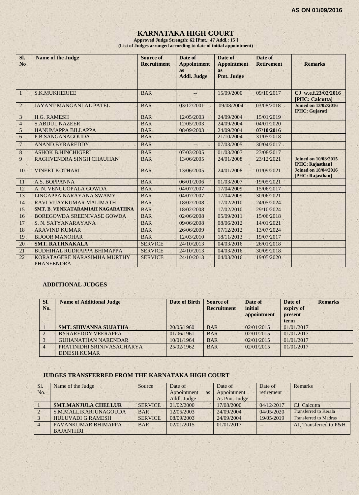## **KARNATAKA HIGH COURT**

**Approved Judge Strength: 62 [Pmt.: 47 Addl.: 15 ] (List of Judges arranged according to date of initial appointment)**

| SI.<br>N <sub>o</sub> | <b>Name of the Judge</b>                         | Source of<br><b>Recruitment</b> | Date of<br><b>Appointment</b><br>as | Date of<br><b>Appointment</b><br><b>as</b> | Date of<br><b>Retirement</b> | <b>Remarks</b>                                  |
|-----------------------|--------------------------------------------------|---------------------------------|-------------------------------------|--------------------------------------------|------------------------------|-------------------------------------------------|
|                       |                                                  |                                 | <b>Addl. Judge</b>                  | Pmt. Judge                                 |                              |                                                 |
| $\vert$               | <b>S.K.MUKHERJEE</b>                             | <b>BAR</b>                      | $\frac{1}{2}$                       | 15/09/2000                                 | 09/10/2017                   | CJ w.e.f.23/02/2016<br>[PHC: Calcutta]          |
| $\overline{2}$        | JAYANT MANGANLAL PATEL                           | <b>BAR</b>                      | 03/12/2001                          | 09/08/2004                                 | 03/08/2018                   | <b>Joined on 13/02/2016</b><br>[PHC: Gujarat]   |
| 3                     | <b>H.G. RAMESH</b>                               | <b>BAR</b>                      | 12/05/2003                          | 24/09/2004                                 | 15/01/2019                   |                                                 |
| $\overline{4}$        | <b>S.ABDUL NAZEER</b>                            | <b>BAR</b>                      | 12/05/2003                          | 24/09/2004                                 | 04/01/2020                   |                                                 |
| $\mathfrak{S}$        | <b>HANUMAPPA BILLAPPA</b>                        | <b>BAR</b>                      | 08/09/2003                          | 24/09/2004                                 | 07/10/2016                   |                                                 |
| 6                     | P.B.SANGANAGOUDA                                 | <b>BAR</b>                      |                                     | 21/10/2004                                 | 31/05/2018                   |                                                 |
| $\overline{7}$        | <b>ANAND BYRAREDDY</b>                           | <b>BAR</b>                      | --                                  | 07/03/2005                                 | 30/04/2017                   |                                                 |
| $\,8\,$               | <b>ASHOK B.HINCHIGERI</b>                        | <b>BAR</b>                      | 07/03/2005                          | 01/03/2007                                 | 23/08/2017                   |                                                 |
| 9                     | RAGHVENDRA SINGH CHAUHAN                         | <b>BAR</b>                      | 13/06/2005                          | 24/01/2008                                 | 23/12/2021                   | <b>Joined on 10/03/2015</b><br>[PHC: Rajasthan] |
| 10                    | <b>VINEET KOTHARI</b>                            | <b>BAR</b>                      | 13/06/2005                          | 24/01/2008                                 | 01/09/2021                   | <b>Joined on 18/04/2016</b><br>[PHC: Rajasthan] |
| 11                    | A.S. BOPPANNA                                    | <b>BAR</b>                      | 06/01/2006                          | 01/03/2007                                 | 19/05/2021                   |                                                 |
| 12                    | A. N. VENUGOPALA GOWDA                           | <b>BAR</b>                      | 04/07/2007                          | 17/04/2009                                 | 15/06/2017                   |                                                 |
| 13                    | LINGAPPA NARAYANA SWAMY                          | <b>BAR</b>                      | 04/07/2007                          | 17/04/2009                                 | 30/06/2021                   |                                                 |
| 14                    | RAVI VIJAYKUMAR MALIMATH                         | <b>BAR</b>                      | 18/02/2008                          | 17/02/2010                                 | 24/05/2024                   |                                                 |
| 15                    | <b>SMT. B. VENKATARAMIAH NAGARATHNA</b>          | <b>BAR</b>                      | 18/02/2008                          | 17/02/2010                                 | 29/10/2024                   |                                                 |
| 16                    | <b>BOREGOWDA SREENIVASE GOWDA</b>                | <b>BAR</b>                      | 02/06/2008                          | 05/09/2011                                 | 15/06/2018                   |                                                 |
| 17                    | S. N. SATYANARAYANA                              | <b>BAR</b>                      | 09/06/2008                          | 08/06/2012                                 | 14/01/2021                   |                                                 |
| 18                    | <b>ARAVIND KUMAR</b>                             | <b>BAR</b>                      | 26/06/2009                          | 07/12/2012                                 | 13/07/2024                   |                                                 |
| 19                    | <b>BIJOOR MANOHAR</b>                            | <b>BAR</b>                      | 12/03/2010                          | 18/11/2013                                 | 19/07/2017                   |                                                 |
| 20                    | <b>SMT. RATHNAKALA</b>                           | <b>SERVICE</b>                  | 24/10/2013                          | 04/03/2016                                 | 26/01/2018                   |                                                 |
| 21                    | <b>BUDHIHAL RUDRAPPA BHIMAPPA</b>                | <b>SERVICE</b>                  | 24/10/2013                          | 04/03/2016                                 | 30/09/2018                   |                                                 |
| 22                    | KORATAGERE NARASIMHA MURTHY<br><b>PHANEENDRA</b> | <b>SERVICE</b>                  | 24/10/2013                          | 04/03/2016                                 | 19/05/2020                   |                                                 |

#### **ADDITIONAL JUDGES**

| SI.<br>No. | <b>Name of Additional Judge</b>                   | <b>Date of Birth</b> | <b>Source of</b><br><b>Recruitment</b> | Date of<br>initial<br>appointment | Date of<br>expiry of<br>present<br>term | <b>Remarks</b> |
|------------|---------------------------------------------------|----------------------|----------------------------------------|-----------------------------------|-----------------------------------------|----------------|
|            | <b>SMT. SHIVANNA SUJATHA</b>                      | 20/05/1960           | <b>BAR</b>                             | 02/01/2015                        | 01/01/2017                              |                |
|            | <b>BYRAREDDY VEERAPPA</b>                         | 01/06/1961           | <b>BAR</b>                             | 02/01/2015                        | 01/01/2017                              |                |
|            | <b>GUHANATHAN NARENDAR</b>                        | 10/01/1964           | <b>BAR</b>                             | 02/01/2015                        | 01/01/2017                              |                |
|            | PRATINIDHI SRINIVASACHARYA<br><b>DINESH KUMAR</b> | 25/02/1962           | <b>BAR</b>                             | 02/01/2015                        | 01/01/2017                              |                |

#### **JUDGES TRANSFERRED FROM THE KARNATAKA HIGH COURT**

| Sl. | Name of the Judge          | Source         | Date of           | Date of       | Date of    | Remarks                      |
|-----|----------------------------|----------------|-------------------|---------------|------------|------------------------------|
| No. |                            |                | Appointment<br>as | Appointment   | retirement |                              |
|     |                            |                | Addl. Judge       | As Pmt. Judge |            |                              |
|     | <b>SMT.MANJULA CHELLUR</b> | <b>SERVICE</b> | 21/02/2000        | 17/08/2000    | 04/12/2017 | CJ. Calcutta                 |
|     | S.M.MALLIKARJUNAGOUDA      | <b>BAR</b>     | 12/05/2003        | 24/09/2004    | 04/05/2020 | <b>Transferred to Kerala</b> |
|     | <b>HULUVADI G.RAMESH</b>   | <b>SERVICE</b> | 08/09/2003        | 24/09/2004    | 19/05/2019 | <b>Transferred to Madras</b> |
|     | PAVANKUMAR BHIMAPPA        | <b>BAR</b>     | 02/01/2015        | 01/01/2017    |            | AJ. Transferred to P&H       |
|     | <b>BAJANTHRI</b>           |                |                   |               |            |                              |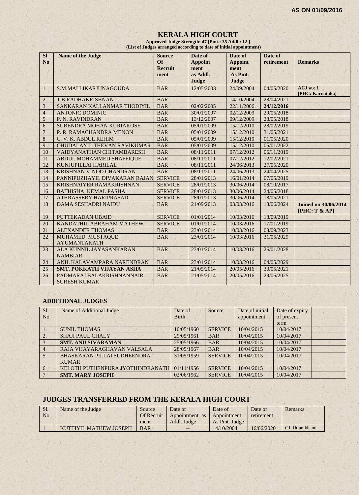## **KERALA HIGH COURT Approved Judge Strength: 47 [Pmt.: 35 Addl.: 12 ]**

 **(List of Judges arranged according to date of initial appointment)**

| <b>SI</b><br>N <sub>o</sub> | <b>Name of the Judge</b>                         | <b>Source</b><br>Of<br><b>Recruit</b><br>ment | Date of<br><b>Appoint</b><br>ment<br>as Addl.<br>Judge | Date of<br><b>Appoint</b><br>ment<br>As Pmt.<br>Judge | Date of<br>retirement | <b>Remarks</b>                               |
|-----------------------------|--------------------------------------------------|-----------------------------------------------|--------------------------------------------------------|-------------------------------------------------------|-----------------------|----------------------------------------------|
| 1                           | S.M.MALLIKARJUNAGOUDA                            | <b>BAR</b>                                    | 12/05/2003                                             | 24/09/2004                                            | 04/05/2020            | ACJ w.e.f.<br>[PHC: Karnataka]               |
| $\overline{2}$              | T.B.RADHAKRISHNAN                                | <b>BAR</b>                                    |                                                        | 14/10/2004                                            | 28/04/2021            |                                              |
| 3                           | SANKARAN KALLANMAR THODIYIL                      | <b>BAR</b>                                    | 02/02/2005                                             | 22/11/2006                                            | 24/12/2016            |                                              |
| $\overline{4}$              | <b>ANTONIC DOMINIC</b>                           | <b>BAR</b>                                    | 30/01/2007                                             | 02/12/2009                                            | 29/05/2018            |                                              |
| $\mathfrak{S}$              | P. N. RAVINDRAN                                  | <b>BAR</b>                                    | 13/12/2007                                             | 09/12/2009                                            | 28/05/2018            |                                              |
| 6                           | SURENDRA MOHAN KURIAKOSE                         | <b>BAR</b>                                    | 05/01/2009                                             | 15/12/2010                                            | 28/02/2019            |                                              |
| $\overline{7}$              | P. R. RAMACHANDRA MENON                          | <b>BAR</b>                                    | 05/01/2009                                             | 15/12/2010                                            | 31/05/2021            |                                              |
| 8                           | C. V. K. ABDUL REHIM                             | <b>BAR</b>                                    | 05/01/2009                                             | 15/12/2010                                            | 01/05/2020            |                                              |
| 9                           | CHUDALAYIL THEVAN RAVIKUMAR                      | <b>BAR</b>                                    | 05/01/2009                                             | 15/12/2010                                            | 05/01/2022            |                                              |
| 10                          | <b>VAIDYANATHAN CHITAMBARESH</b>                 | <b>BAR</b>                                    | 08/11/2011                                             | 07/12/2012                                            | 06/11/2019            |                                              |
| 11                          | ABDUL MOHAMMED SHAFFIQUE                         | <b>BAR</b>                                    | 08/11/2011                                             | 07/12/2012                                            | 12/02/2021            |                                              |
| 12                          | KUNJUPILLAI HARILAL                              | <b>BAR</b>                                    | 08/11/2011                                             | 24/06/2013                                            | 27/05/2020            |                                              |
| 13                          | KRISHNAN VINOD CHANDRAN                          | <b>BAR</b>                                    | 08/11/2011                                             | 24/06/2013                                            | 24/04/2025            |                                              |
| 14                          | PANNIPUZHAYIL DIVAKARAN RAJAN                    | <b>SERVICE</b>                                | 28/01/2013                                             | 16/01/2014                                            | 07/05/2019            |                                              |
| 15                          | <b>KRISHNAIYER RAMAKRISHNAN</b>                  | <b>SERVICE</b>                                | 28/01/2013                                             | 30/06/2014                                            | 08/10/2017            |                                              |
| 16                          | <b>BATHISHA KEMAL PASHA</b>                      | <b>SERVICE</b>                                | 28/01/2013                                             | 30/06/2014                                            | 24/05/2018            |                                              |
| 17                          | <b>ATHRASSERY HARIPRASAD</b>                     | <b>SERVICE</b>                                | 28/01/2013                                             | 30/06/2014                                            | 18/05/2021            |                                              |
| 18                          | <b>DAMA SESHADRI NAIDU</b>                       | <b>BAR</b>                                    | 21/09/2013                                             | 03/03/2016                                            | 18/06/2024            | <b>Joined on 30/06/2014</b><br>[PHC: T & AP] |
| 19                          | <b>PUTTEKADAN UBAID</b>                          | <b>SERVICE</b>                                | 01/01/2014                                             | 10/03/2016                                            | 18/09/2019            |                                              |
| 20                          | KANDATHIL ABRAHAM MATHEW                         | <b>SERVICE</b>                                | 01/01/2014                                             | 10/03/2016                                            | 17/01/2019            |                                              |
| 21                          | <b>ALEXANDER THOMAS</b>                          | <b>BAR</b>                                    | 23/01/2014                                             | 10/03/2016                                            | 03/09/2023            |                                              |
| 22                          | MUHAMED MUSTAQUE<br><b>AYUMANTAKATH</b>          | <b>BAR</b>                                    | 23/01/2014                                             | 10/03/2016                                            | 31/05/2029            |                                              |
| 23                          | ALA KUNNIL JAYASANKARAN<br><b>NAMBIAR</b>        | <b>BAR</b>                                    | 23/01/2014                                             | 10/03/2016                                            | 26/01/2028            |                                              |
| 24                          | ANIL KALAVAMPARA NARENDRAN                       | <b>BAR</b>                                    | 23/01/2014                                             | 10/03/2016                                            | 04/05/2029            |                                              |
| 25                          | <b>SMT. POKKATH VIJAYAN ASHA</b>                 | <b>BAR</b>                                    | 21/05/2014                                             | 20/05/2016                                            | 30/05/2021            |                                              |
| 26                          | PADMARAJ BALAKRISHNANNAIR<br><b>SURESH KUMAR</b> | <b>BAR</b>                                    | 21/05/2014                                             | 20/05/2016                                            | 29/06/2025            |                                              |

#### **ADDITIONAL JUDGES**

| Sl.             | Name of Additional Judge         | Date of      | Source         | Date of initial | Date of expiry |  |
|-----------------|----------------------------------|--------------|----------------|-----------------|----------------|--|
| No.             |                                  | <b>Birth</b> |                | appointment     | of present     |  |
|                 |                                  |              |                |                 | term           |  |
| $\mathbf{1}$ .  | <b>SUNIL THOMAS</b>              | 10/05/1960   | <b>SERVICE</b> | 10/04/2015      | 10/04/2017     |  |
| 2.              | <b>SHAJI PAUL CHALY</b>          | 29/05/1961   | <b>BAR</b>     | 10/04/2015      | 10/04/2017     |  |
| 3.7             | <b>SMT. ANU SIVARAMAN</b>        | 25/05/1966   | <b>BAR</b>     | 10/04/2015      | 10/04/2017     |  |
| $\overline{4}$  | RAJA VIJAYARAGHAVAN VALSALA      | 28/05/1967   | <b>BAR</b>     | 10/04/2015      | 10/04/2017     |  |
| $\overline{5}$  | BHASKARAN PILLAI SUDHEENDRA      | 31/05/1959   | <b>SERVICE</b> | 10/04/2015      | 10/04/2017     |  |
|                 | <b>KUMAR</b>                     |              |                |                 |                |  |
| 6               | KELOTH PUTHENPURA JYOTHINDRANATH | 01/11/1956   | <b>SERVICE</b> | 10/04/2015      | 10/04/2017     |  |
| $7\phantom{.0}$ | <b>SMT. MARY JOSEPH</b>          | 02/06/1962   | <b>SERVICE</b> | 10/04/2015      | 10/04/2017     |  |

## **JUDGES TRANSFERRED FROM THE KERALA HIGH COURT**

| Sl. | Name of the Judge      | Source            | Date of        | Date of       | Date of    | <b>Remarks</b>  |
|-----|------------------------|-------------------|----------------|---------------|------------|-----------------|
| No. |                        | <b>Of Recruit</b> | Appointment as | Appointment   | retirement |                 |
|     |                        | ment              | Addl. Judge    | As Pmt. Judge |            |                 |
|     | KUTTIYIL MATHEW JOSEPH | <b>BAR</b>        | $- -$          | 14/10/2004    | 16/06/2020 | CJ, Uttarakhand |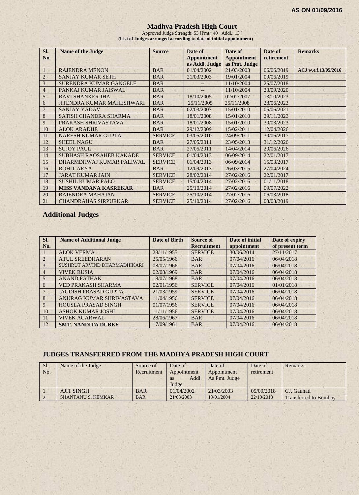### **Madhya Pradesh High Court**

Approved Judge Strength: 53 [Pmt.: 40 Addl.: 13 ] **(List of Judges arranged according to date of initial appointment)**

| SI.<br>No.     | Name of the Judge                | <b>Source</b>  | Date of<br><b>Appointment</b><br>as Addl. Judge | Date of<br><b>Appointment</b><br>as Pmt. Judge | Date of<br>retirement | <b>Remarks</b>       |
|----------------|----------------------------------|----------------|-------------------------------------------------|------------------------------------------------|-----------------------|----------------------|
|                | <b>RAJENDRA MENON</b>            | <b>BAR</b>     | 01/04/2002                                      | 21/03/2003                                     | 06/06/2019            | ACJ w.e.f.13/05/2016 |
| $\overline{2}$ | <b>SANJAY KUMAR SETH</b>         | <b>BAR</b>     | 21/03/2003                                      | 19/01/2004                                     | 09/06/2019            |                      |
| 3              | SURENDRA KUMAR GANGELE           | <b>BAR</b>     |                                                 | 11/10/2004                                     | 25/07/2018            |                      |
| 4              | PANKAJ KUMAR JAISWAL             | <b>BAR</b>     |                                                 | 11/10/2004                                     | 23/09/2020            |                      |
| 5              | <b>RAVI SHANKER JHA</b>          | <b>BAR</b>     | 18/10/2005                                      | 02/02/2007                                     | 13/10/2023            |                      |
| 6              | <b>JITENDRA KUMAR MAHESHWARI</b> | <b>BAR</b>     | 25/11/2005                                      | 25/11/2008                                     | 28/06/2023            |                      |
|                | <b>SANJAY YADAV</b>              | <b>BAR</b>     | 02/03/2007                                      | 15/01/2010                                     | 05/06/2021            |                      |
| 8              | SATISH CHANDRA SHARMA            | <b>BAR</b>     | 18/01/2008                                      | 15/01/2010                                     | 29/11/2023            |                      |
| 9              | PRAKASH SHRIVASTAVA              | <b>BAR</b>     | 18/01/2008                                      | 15/01/2010                                     | 30/03/2023            |                      |
| 10             | <b>ALOK ARADHE</b>               | <b>BAR</b>     | 29/12/2009                                      | 15/02/2011                                     | 12/04/2026            |                      |
| 11             | <b>NARESH KUMAR GUPTA</b>        | <b>SERVICE</b> | 03/05/2010                                      | 24/09/2011                                     | 30/06/2017            |                      |
| 12             | <b>SHEEL NAGU</b>                | <b>BAR</b>     | 27/05/2011                                      | 23/05/2013                                     | 31/12/2026            |                      |
| 13             | <b>SUJOY PAUL</b>                | <b>BAR</b>     | 27/05/2011                                      | 14/04/2014                                     | 20/06/2026            |                      |
| 14             | <b>SUBHASH RAOSAHEB KAKADE</b>   | <b>SERVICE</b> | 01/04/2013                                      | 06/09/2014                                     | 22/01/2017            |                      |
| 15             | DHARMDHWAJ KUMAR PALIWAL         | <b>SERVICE</b> | 01/04/2013                                      | 06/09/2014                                     | 15/03/2017            |                      |
| 16             | <b>ROHIT ARYA</b>                | <b>BAR</b>     | 12/09/2013                                      | 26/03/2015                                     | 27/04/2024            |                      |
| 17             | <b>JARAT KUMAR JAIN</b>          | <b>SERVICE</b> | 28/02/2014                                      | 27/02/2016                                     | 22/01/2017            |                      |
| 18             | <b>SUSHIL KUMAR PALO</b>         | <b>SERVICE</b> | 15/04/2014                                      | 27/02/2016                                     | 01/11/2018            |                      |
| 19             | <b>MISS VANDANA KASREKAR</b>     | <b>BAR</b>     | 25/10/2014                                      | 27/02/2016                                     | 09/07/2022            |                      |
| 20             | <b>RAJENDRA MAHAJAN</b>          | <b>SERVICE</b> | 25/10/2014                                      | 27/02/2016                                     | 06/03/2018            |                      |
| 21             | <b>CHANDRAHAS SIRPURKAR</b>      | <b>SERVICE</b> | 25/10/2014                                      | 27/02/2016                                     | 03/03/2019            |                      |

## **Additional Judges**

| Sl.<br>No.      | <b>Name of Additional Judge</b> | Date of Birth | <b>Source of</b><br><b>Recruitment</b> | Date of initial<br>appointment | Date of expiry<br>of present term |
|-----------------|---------------------------------|---------------|----------------------------------------|--------------------------------|-----------------------------------|
|                 | <b>ALOK VERMA</b>               | 28/11/1955    | <b>SERVICE</b>                         | 30/06/2014                     | 27/11/2017                        |
| $\overline{2}$  | <b>ATUL SREEDHARAN</b>          | 25/05/1966    | <b>BAR</b>                             | 07/04/2016                     | 06/04/2018                        |
| 3               | SUSHRUT ARVIND DHARMADHIKARI    | 08/07/1966    | <b>BAR</b>                             | 07/04/2016                     | 06/04/2018                        |
| $\overline{4}$  | <b>VIVEK RUSIA</b>              | 02/08/1969    | <b>BAR</b>                             | 07/04/2016                     | 06/04/2018                        |
| $5\overline{)}$ | <b>ANAND PATHAK</b>             | 18/07/1968    | <b>BAR</b>                             | 07/04/2016                     | 06/04/2018                        |
| 6               | <b>VED PRAKASH SHARMA</b>       | 02/01/1956    | <b>SERVICE</b>                         | 07/04/2016                     | 01/01/2018                        |
| $7\phantom{.0}$ | <b>JAGDISH PRASAD GUPTA</b>     | 21/03/1959    | <b>SERVICE</b>                         | 07/04/2016                     | 06/04/2018                        |
| 8               | ANURAG KUMAR SHRIVASTAVA        | 11/04/1956    | <b>SERVICE</b>                         | 07/04/2016                     | 06/04/2018                        |
| 9               | <b>HOUSLA PRASAD SINGH</b>      | 01/07/1956    | <b>SERVICE</b>                         | 07/04/2016                     | 06/04/2018                        |
| 10              | <b>ASHOK KUMAR JOSHI</b>        | 11/11/1956    | <b>SERVICE</b>                         | 07/04/2016                     | 06/04/2018                        |
| 11              | <b>VIVEK AGARWAL</b>            | 28/06/1967    | <b>BAR</b>                             | 07/04/2016                     | 06/04/2018                        |
| 12              | <b>SMT. NANDITA DUBEY</b>       | 17/09/1961    | <b>BAR</b>                             | 07/04/2016                     | 06/04/2018                        |

### **JUDGES TRANSFERRED FROM THE MADHYA PRADESH HIGH COURT**

| Sl.<br>No. | Name of the Judge         | Source of<br>Recruitment | Date of<br>Appointment<br>Addl.<br><b>as</b><br>Judge | Date of<br>Appointment<br>As Pmt. Judge | Date of<br>retirement | Remarks                      |
|------------|---------------------------|--------------------------|-------------------------------------------------------|-----------------------------------------|-----------------------|------------------------------|
|            | <b>AJIT SINGH</b>         | <b>BAR</b>               | 01/04/2002                                            | 21/03/2003                              | 05/09/2018            | CJ. Gauhati                  |
|            | <b>SHANTANU S. KEMKAR</b> | <b>BAR</b>               | 21/03/2003                                            | 19/01/2004                              | 22/10/2018            | <b>Transferred to Bombay</b> |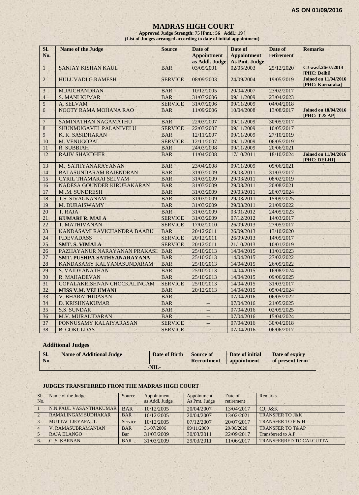#### **MADRAS HIGH COURT**

**Approved Judge Strength: 75 [Pmt.: 56 Addl.: 19 ] (List of Judges arranged according to date of initial appointment)**

| SI.<br>No.      | Name of the Judge             | <b>Source</b>  | Date of<br><b>Appointment</b><br>as Addl. Judge | Date of<br><b>Appointment</b><br>As Pmt. Judge | Date of<br>retirement | <b>Remarks</b>                                  |
|-----------------|-------------------------------|----------------|-------------------------------------------------|------------------------------------------------|-----------------------|-------------------------------------------------|
| $\mathbf{1}$    | SANJAY KISHAN KAUL            | <b>BAR</b>     | 03/05/2001                                      | 02/05/2003                                     | 25/12/2020            | CJ w.e.f.26/07/2014<br>[PHC: Delhi]             |
| $\overline{2}$  | <b>HULUVADI G.RAMESH</b>      | <b>SERVICE</b> | 08/09/2003                                      | 24/09/2004                                     | 19/05/2019            | <b>Joined on 11/04/2016</b><br>[PHC: Karnataka] |
| $\mathfrak{Z}$  | M.JAICHANDRAN                 | <b>BAR</b>     | 10/12/2005                                      | 20/04/2007                                     | 23/02/2017            |                                                 |
| $\overline{4}$  | <b>S. MANI KUMAR</b>          | <b>BAR</b>     | 31/07/2006                                      | 09/11/2009                                     | 23/04/2023            |                                                 |
| 5               | A. SELVAM                     | <b>SERVICE</b> | 31/07/2006                                      | 09/11/2009                                     | 04/04/2018            |                                                 |
| 6               | NOOTY RAMA MOHANA RAO         | <b>BAR</b>     | 11/09/2006                                      | 10/04/2008                                     | 13/08/2017            | <b>Joined on 18/04/2016</b><br>[PHC: T & AP]    |
| $\overline{7}$  | SAMINATHAN NAGAMATHU          | <b>BAR</b>     | 22/03/2007                                      | 09/11/2009                                     | 30/05/2017            |                                                 |
| 8               | SHUNMUGAVEL PALANIVELU        | <b>SERVICE</b> | 22/03/2007                                      | 09/11/2009                                     | 10/05/2017            |                                                 |
| 9               | K. K. SASIDHARAN              | <b>BAR</b>     | 12/11/2007                                      | 09/11/2009                                     | 27/10/2019            |                                                 |
| 10              | M. VENUGOPAL                  | <b>SERVICE</b> | 12/11/2007                                      | 09/11/2009                                     | 06/05/2019            |                                                 |
| 11              | <b>R. SUBBIAH</b>             | <b>BAR</b>     | 24/03/2008                                      | 09/11/2009                                     | 20/06/2021            |                                                 |
| 12              | <b>RAJIV SHAKDHER</b>         | <b>BAR</b>     | 11/04/2008                                      | 17/10/2011                                     | 18/10/2024            | <b>Joined on 11/04/2016</b><br>[PHC: DELHI]     |
| 13              | M. SATHYANARAYANAN            | <b>BAR</b>     | 23/04/2008                                      | 09/11/2009                                     | 09/06/2021            |                                                 |
| 14              | <b>BALASUNDARAM RAJENDRAN</b> | <b>BAR</b>     | 31/03/2009                                      | 29/03/2011                                     | 31/03/2017            |                                                 |
| 15              | <b>CYRIL THAMARAI SELVAM</b>  | <b>BAR</b>     | 31/03/2009                                      | 29/03/2011                                     | 08/02/2019            |                                                 |
| 16              | NADESA GOUNDER KIRUBAKARAN    | <b>BAR</b>     | 31/03/2009                                      | 29/03/2011                                     | 20/08/2021            |                                                 |
| 17              | M.M. SUNDRESH                 | <b>BAR</b>     | 31/03/2009                                      | 29/03/2011                                     | 20/07/2024            |                                                 |
| 18              | <b>T.S. SIVAGNANAM</b>        | <b>BAR</b>     | 31/03/2009                                      | 29/03/2011                                     | 15/09/2025            |                                                 |
| 19              | M. DURAISWAMY                 | <b>BAR</b>     | 31/03/2009                                      | 29/03/2011                                     | 21/09/2022            |                                                 |
| 20              | T. RAJA                       | <b>BAR</b>     | 31/03/2009                                      | 03/01/2012                                     | 24/05/2023            |                                                 |
| 21              | <b>KUMARI R. MALA</b>         | <b>SERVICE</b> | 31/03/2009                                      | 07/12/2012                                     | 14/03/2017            |                                                 |
| 22              | <b>T. MATHIVANAN</b>          | <b>SERVICE</b> | 17/02/2010                                      | 26/09/2013                                     | 27/05/2017            |                                                 |
| 23              | KANDASAMI RAVICHANDRA BAABU   | <b>BAR</b>     | 20/12/2011                                      | 26/09/2013                                     | 13/10/2020            |                                                 |
| 24              | <b>P.DEVADASS</b>             | <b>SERVICE</b> | 20/12/2011                                      | 26/09/2013                                     | 14/05/2017            |                                                 |
| 25              | <b>SMT. S. VIMALA</b>         | <b>SERVICE</b> | 20/12/2011                                      | 21/10/2013                                     | 10/01/2019            |                                                 |
| 26              | PAZHAYANUR NARAYANAN PRAKASH  | <b>BAR</b>     | 25/10/2013                                      | 14/04/2015                                     | 11/01/2023            |                                                 |
| 27              | SMT. PUSHPA SATHYANARAYANA    | <b>BAR</b>     | 25/10/2013                                      | 14/04/2015                                     | 27/02/2022            |                                                 |
| 28              | KANDASAMY KALYANASUNDARAM     | <b>BAR</b>     | 25/10/2013                                      | 14/04/2015                                     | 26/05/2022            |                                                 |
| 29              | <b>S. VAIDYANATHAN</b>        | <b>BAR</b>     | 25/10/2013                                      | 14/04/2015                                     | 16/08/2024            |                                                 |
| 30              | R. MAHADEVAN                  | <b>BAR</b>     | 25/10/2013                                      | 14/04/2015                                     | 09/06/2025            |                                                 |
| 31              | GOPALAKRISHNAN CHOCKALINGAM   | <b>SERVICE</b> | 25/10/2013                                      | 14/04/2015                                     | 31/03/2017            |                                                 |
| $\overline{32}$ | <b>MISS V.M. VELUMANI</b>     | <b>BAR</b>     | 20/12/2013                                      | 14/04/2015                                     | 05/04/2024            |                                                 |
| 33              | V. BHARATHIDASAN              | <b>BAR</b>     | ÷,                                              | 07/04/2016                                     | 06/05/2022            |                                                 |
| 34              | <b>D. KRISHNAKUMAR</b>        | <b>BAR</b>     | $-$                                             | 07/04/2016                                     | 21/05/2025            |                                                 |
| 35              | <b>S.S. SUNDAR</b>            | <b>BAR</b>     | $\qquad \qquad -$                               | 07/04/2016                                     | 02/05/2025            |                                                 |
| 36              | <b>M.V. MURALIDARAN</b>       | <b>BAR</b>     | $-$                                             | 07/04/2016                                     | 15/04/2024            |                                                 |
| 37              | PONNUSAMY KALAIYARASAN        | <b>SERVICE</b> |                                                 | 07/04/2016                                     | 30/04/2018            |                                                 |
| 38              | <b>B. GOKULDAS</b><br>S.      | <b>SERVICE</b> | $\mathcal{L}_{\mathcal{A}}$                     | 07/04/2016                                     | 06/06/2017            |                                                 |

## **Additional Judges**

| SI.<br>No. | <b>Name of Additional Judge</b> | Date of Birth | Source of<br>Recruitment | Date of initial<br><b>appointment</b> | Date of expiry<br>of present term |
|------------|---------------------------------|---------------|--------------------------|---------------------------------------|-----------------------------------|
|            |                                 | -NIL-         |                          |                                       |                                   |

#### **JUDGES TRANSFERRED FROM THE MADRAS HIGH COURT**

| S1.            | Name of the Judge          | Source     | Appointment    | Appointment   | Date of    | Remarks                        |
|----------------|----------------------------|------------|----------------|---------------|------------|--------------------------------|
| No.            |                            |            | as Addl. Judge | As Pmt. Judge | retirement |                                |
|                | N.N.PAUL VASANTHAKUMAR     | <b>BAR</b> | 10/12/2005     | 20/04/2007    | 13/04/2017 | $CJ.$ J&K                      |
| $\overline{2}$ | <b>RAMALINGAM SUDHAKAR</b> | <b>BAR</b> | 10/12/2005     | 20/04/2007    | 13/02/2021 | <b>TRANSFER TO J&amp;K</b>     |
| $\mathcal{R}$  | MUTTACLIEYAPAUL            | Service    | 10/12/2005     | 07/12/2007    | 20/07/2017 | TRANSFER TO P & H              |
|                | <b>V. RAMASUBRAMANIAN</b>  | <b>BAR</b> | 31/07/2006     | 09/11/2009    | 29/06/2020 | <b>TRANSFER TO T&amp;AP</b>    |
|                | <b>RAJA ELANGO</b>         | Bar        | 31/03/2009     | 30/03/2011    | 22/09/2017 | Transferred to A.P.            |
|                | C. S. KARNAN               | <b>BAR</b> | 31/03/2009     | 29/03/2011    | 11/06/2017 | <b>TRANSFERRED TO CALCUTTA</b> |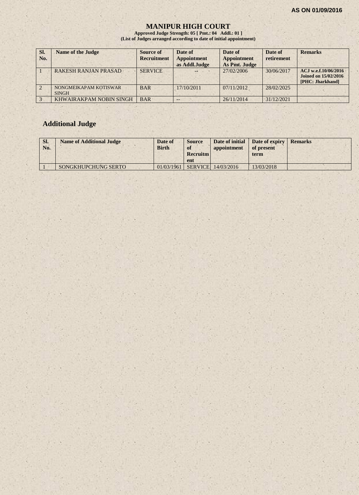## **MANIPUR HIGH COURT**

**Approved Judge Strength: 05 [ Pmt.: 04 Addl.: 01 ] (List of Judges arranged according to date of initial appointment)**

| SI.<br>No. | <b>Name of the Judge</b>              | Source of<br><b>Recruitment</b> | Date of<br><b>Appointment</b><br>as Addl.Judge | Date of<br><b>Appointment</b><br>As Pmt. Judge | Date of<br>retirement | <b>Remarks</b>                                                          |
|------------|---------------------------------------|---------------------------------|------------------------------------------------|------------------------------------------------|-----------------------|-------------------------------------------------------------------------|
|            | <b>RAKESH RANJAN PRASAD</b>           | <b>SERVICE</b>                  |                                                | 27/02/2006                                     | 30/06/2017            | ACJ w.e.f.10/06/2016<br><b>Joined on 15/02/2016</b><br>[PHC: Jharkhand] |
|            | NONGMEIKAPAM KOTISWAR<br><b>SINGH</b> | <b>BAR</b>                      | 17/10/2011                                     | 07/11/2012                                     | 28/02/2025            |                                                                         |
|            | KHWAIRAKPAM NOBIN SINGH               | <b>BAR</b>                      |                                                | 26/11/2014                                     | 31/12/2021            |                                                                         |

## **Additional Judge**

| SI.<br>No. | <b>Name of Additional Judge</b> | Date of<br><b>Birth</b> | <b>Source</b><br>of<br><b>Recruitm</b><br>ent | appointment        | Date of initial Date of expiry<br>of present<br>term | <b>Remarks</b> |
|------------|---------------------------------|-------------------------|-----------------------------------------------|--------------------|------------------------------------------------------|----------------|
|            | SONGKHUPCHUNG SERTO             | 01/03/1961              |                                               | SERVICE 14/03/2016 | 13/03/2018                                           |                |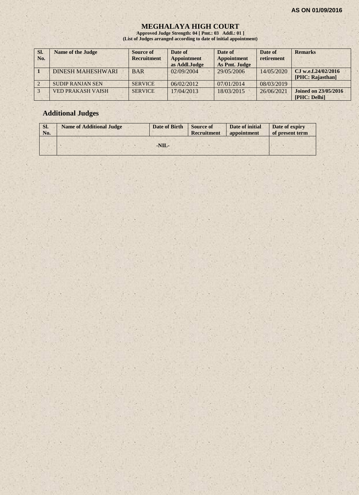#### **MEGHALAYA HIGH COURT**

**Approved Judge Strength: 04 [ Pmt.: 03 Addl.: 01 ] (List of Judges arranged according to date of initial appointment)**

| SI.<br>No. | <b>Name of the Judge</b> | Source of<br><b>Recruitment</b> | Date of<br>Appointment<br>as Addl.Judge | Date of<br><b>Appointment</b><br>As Pmt. Judge | Date of<br>retirement | <b>Remarks</b>                              |
|------------|--------------------------|---------------------------------|-----------------------------------------|------------------------------------------------|-----------------------|---------------------------------------------|
|            | <b>DINESH MAHESHWARI</b> | <b>BAR</b>                      | 02/09/2004                              | 29/05/2006                                     | 14/05/2020            | CJ w.e.f.24/02/2016<br>[PHC: Rajasthan]     |
|            | <b>SUDIP RANJAN SEN</b>  | <b>SERVICE</b>                  | 06/02/2012                              | 07/01/2014                                     | 08/03/2019            |                                             |
|            | <b>VED PRAKASH VAISH</b> | <b>SERVICE</b>                  | 17/04/2013                              | 18/03/2015                                     | 26/06/2021            | <b>Joined on 23/05/2016</b><br>[PHC: Delhi] |

## **Additional Judges**

| SI.<br>No. | <b>Name of Additional Judge</b> | Date of Birth | <b>Source of</b><br>Recruitment | Date of initial<br>appointment | Date of expiry<br>of present term |
|------------|---------------------------------|---------------|---------------------------------|--------------------------------|-----------------------------------|
|            |                                 |               |                                 |                                |                                   |
|            |                                 | $-NIL-$       |                                 |                                |                                   |
|            |                                 |               |                                 |                                |                                   |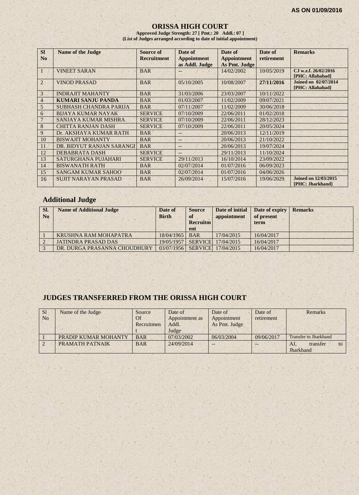#### **ORISSA HIGH COURT**

**Approved Judge Strength: 27 [ Pmt.: 20 Addl.: 07 ] (List of Judges arranged according to date of initial appointment)**

| <b>SI</b>      | <b>Name of the Judge</b>      | <b>Source of</b>   | Date of            | Date of            | Date of    | <b>Remarks</b>                                  |
|----------------|-------------------------------|--------------------|--------------------|--------------------|------------|-------------------------------------------------|
| No             |                               | <b>Recruitment</b> | <b>Appointment</b> | <b>Appointment</b> | retirement |                                                 |
|                |                               |                    | as Addl. Judge     | As Pmt. Judge      |            |                                                 |
| -1             | <b>VINEET SARAN</b>           | <b>BAR</b>         | $-$                | 14/02/2002         | 10/05/2019 | CJ w.e.f. 26/02/2016<br>[PHC: Allahabad]        |
| 2              | <b>VINOD PRASAD</b>           | <b>BAR</b>         | 05/10/2005         | 10/08/2007         | 27/11/2016 | Joined on 02/07/2014<br>[PHC: Allahabad]        |
| 3              | <b>INDRAJIT MAHANTY</b>       | <b>BAR</b>         | 31/03/2006         | 23/03/2007         | 10/11/2022 |                                                 |
| $\overline{4}$ | KUMARI SANJU PANDA            | <b>BAR</b>         | 01/03/2007         | 11/02/2009         | 09/07/2021 |                                                 |
| 5              | <b>SUBHASH CHANDRA PARIJA</b> | <b>BAR</b>         | 07/11/2007         | 11/02/2009         | 30/06/2018 |                                                 |
| 6              | <b>BUAYA KUMAR NAYAK</b>      | <b>SERVICE</b>     | 07/10/2009         | 22/06/2011         | 01/02/2018 |                                                 |
|                | <b>SANJAYA KUMAR MISHRA</b>   | <b>SERVICE</b>     | 07/10/2009         | 22/06/2011         | 28/12/2023 |                                                 |
| 8              | <b>CHITTA RANJAN DASH</b>     | <b>SERVICE</b>     | 07/10/2009         | 22/06/2011         | 20/05/2024 |                                                 |
| 9              | Dr. AKSHAYA KUMAR RATH        | <b>BAR</b>         | $-$                | 20/06/2013         | 12/11/2019 |                                                 |
| 10             | <b>BISWAJIT MOHANTY</b>       | <b>BAR</b>         | $-$                | 20/06/2013         | 21/10/2022 |                                                 |
| 11             | DR. BIDYUT RANJAN SARANGI     | <b>BAR</b>         | $-$                | 20/06/2013         | 19/07/2024 |                                                 |
| 12             | <b>DEBABRATA DASH</b>         | <b>SERVICE</b>     | $-$                | 29/11/2013         | 11/10/2024 |                                                 |
| 13             | SATURGHANA PUJAHARI           | <b>SERVICE</b>     | 29/11/2013         | 16/10/2014         | 23/09/2022 |                                                 |
| 14             | <b>BISWANATH RATH</b>         | <b>BAR</b>         | 02/07/2014         | 01/07/2016         | 06/09/2023 |                                                 |
| 15             | <b>SANGAM KUMAR SAHOO</b>     | <b>BAR</b>         | 02/07/2014         | 01/07/2016         | 04/06/2026 |                                                 |
| 16             | <b>SUJIT NARAYAN PRASAD</b>   | <b>BAR</b>         | 26/09/2014         | 15/07/2016         | 19/06/2029 | <b>Joined on 12/03/2015</b><br>[PHC: Jharkhand] |

## **Additional Judge**

| SI.<br>N <sub>0</sub> | <b>Name of Additional Judge</b> | Date of<br><b>Birth</b> | <b>Source</b><br>of<br><b>Recruitm</b><br>ent | Date of initial<br>appointment | Date of expiry<br>of present<br>term | <b>Remarks</b> |
|-----------------------|---------------------------------|-------------------------|-----------------------------------------------|--------------------------------|--------------------------------------|----------------|
|                       | <b>KRUSHNA RAM MOHAPATRA</b>    | 18/04/1965              | <b>BAR</b>                                    | 17/04/2015                     | 16/04/2017                           |                |
|                       | <b>JATINDRA PRASAD DAS</b>      | 19/05/1957              |                                               | SERVICE 17/04/2015             | 16/04/2017                           |                |
|                       | DR. DURGA PRASANNA CHOUDHURY    | 03/07/1956              | <b>SERVICE</b>                                | 17/04/2015                     | 16/04/2017                           |                |

## **JUDGES TRANSFERRED FROM THE ORISSA HIGH COURT**

| S <sub>1</sub> | Name of the Judge    | Source     | Date of        | Date of       | Date of    | Remarks                      |
|----------------|----------------------|------------|----------------|---------------|------------|------------------------------|
| N <sub>o</sub> |                      | Of         | Appointment as | Appointment   | retirement |                              |
|                |                      | Recruitmen | Addl.          | As Pmt. Judge |            |                              |
|                |                      |            | Judge          |               |            |                              |
|                | PRADIP KUMAR MOHANTY | <b>BAR</b> | 07/03/2002     | 06/03/2004    | 09/06/2017 | <b>Transfer to Jharkhand</b> |
|                | PRAMATH PATNAIK      | <b>BAR</b> | 24/09/2014     |               |            | transfer<br>AJ.<br>to        |
|                |                      |            |                |               |            | Jharkhand                    |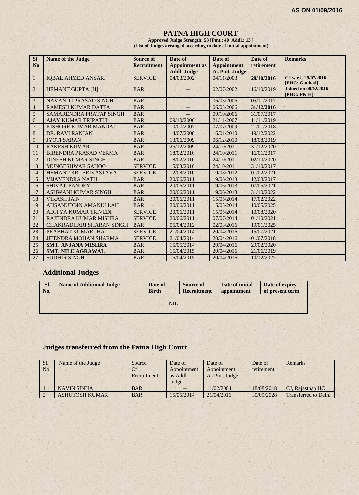## **PATNA HIGH COURT**

**Approved Judge Strength: 53 [Pmt.: 40 Addl.: 13 ] (List of Judges arranged according to date of initial appointment)**

| <b>SI</b><br>N <sub>0</sub> | <b>Name of the Judge</b>        | <b>Source of</b><br><b>Recruitment</b> | Date of<br><b>Appointment</b> as<br><b>Addl. Judge</b> | Date of<br><b>Appointment</b><br>As Pmt. Judge | Date of<br>retirement | <b>Remarks</b>                             |
|-----------------------------|---------------------------------|----------------------------------------|--------------------------------------------------------|------------------------------------------------|-----------------------|--------------------------------------------|
| $\mathbf{1}$                | <b>IQBAL AHMED ANSARI</b>       | <b>SERVICE</b>                         | 04/03/2002                                             | 04/11/2003                                     | 28/10/2016            | CJ w.e.f. 29/07/2016<br>[PHC: Gauhati]     |
| $\overline{2}$              | <b>HEMANT GUPTA [H]</b>         | <b>BAR</b>                             |                                                        | 02/07/2002                                     | 16/10/2019            | <b>Joined on 08/02/2016</b><br>[PHC: P& H] |
| 3                           | <b>NAVANITI PRASAD SINGH</b>    | <b>BAR</b>                             | --                                                     | 06/03/2006                                     | 05/11/2017            |                                            |
| $\overline{4}$              | <b>RAMESH KUMAR DATTA</b>       | <b>BAR</b>                             | --                                                     | 06/03/2006                                     | 31/12/2016            |                                            |
| $\mathfrak{S}$              | <b>SAMARENDRA PRATAP SINGH</b>  | <b>BAR</b>                             |                                                        | 09/10/2006                                     | 31/07/2017            |                                            |
| 6                           | <b>AJAY KUMAR TRIPATHI</b>      | <b>BAR</b>                             | 09/10/2006                                             | 21/11/2007                                     | 11/11/2019            |                                            |
| $\overline{7}$              | KISHORE KUMAR MANDAL            | <b>BAR</b>                             | 10/07/2007                                             | 07/07/2009                                     | 21/01/2018            |                                            |
| 8                           | DR. RAVI RANJAN                 | <b>BAR</b>                             | 14/07/2008                                             | 16/01/2010                                     | 19/12/2022            |                                            |
| 9                           | <b>JYOTI SARAN</b>              | <b>BAR</b>                             | 13/06/2009                                             | 06/12/2010                                     | 18/08/2019            |                                            |
| 10                          | <b>RAKESH KUMAR</b>             | <b>BAR</b>                             | 25/12/2009                                             | 24/10/2011                                     | 31/12/2020            |                                            |
| 11                          | <b>BIRENDRA PRASAD VERMA</b>    | <b>BAR</b>                             | 18/02/2010                                             | 24/10/2011                                     | 16/01/2017            |                                            |
| 12                          | <b>DINESH KUMAR SINGH</b>       | <b>BAR</b>                             | 18/02/2010                                             | 24/10/2011                                     | 02/10/2020            |                                            |
| 13                          | <b>MUNGESHWAR SAHOO</b>         | <b>SERVICE</b>                         | 15/03/2010                                             | 24/10/2011                                     | 31/10/2017            |                                            |
| 14                          | HEMANT KR. SRIVASTAVA           | <b>SERVICE</b>                         | 12/08/2010                                             | 10/08/2012                                     | 01/02/2021            |                                            |
| 15                          | <b>VIJAYENDRA NATH</b>          | <b>BAR</b>                             | 20/06/2011                                             | 19/06/2013                                     | 12/08/2017            |                                            |
| 16                          | <b>SHIVAJI PANDEY</b>           | <b>BAR</b>                             | 20/06/2011                                             | 19/06/2013                                     | 07/05/2021            |                                            |
| 17                          | <b>ASHWANI KUMAR SINGH</b>      | <b>BAR</b>                             | 20/06/2011                                             | 19/06/2013                                     | 31/10/2022            |                                            |
| 18                          | <b>VIKASH JAIN</b>              | <b>BAR</b>                             | 20/06/2011                                             | 15/05/2014                                     | 17/02/2022            |                                            |
| 19                          | AHSANUDDIN AMANULLAH            | <b>BAR</b>                             | 20/06/2011                                             | 15/05/2014                                     | 10/05/2025            |                                            |
| 20                          | <b>ADITYA KUMAR TRIVEDI</b>     | <b>SERVICE</b>                         | 20/06/2011                                             | 15/05/2014                                     | 10/08/2020            |                                            |
| 21                          | RAJENDRA KUMAR MISHRA           | <b>SERVICE</b>                         | 20/06/2011                                             | 07/07/2014                                     | 01/10/2021            |                                            |
| 22                          | <b>CHAKRADHARI SHARAN SINGH</b> | <b>BAR</b>                             | 05/04/2012                                             | 02/03/2016                                     | 19/01/2025            |                                            |
| 23                          | PRABHAT KUMAR JHA               | <b>SERVICE</b>                         | 21/04/2014                                             | 20/04/2016                                     | 15/07/2021            |                                            |
| 24                          | <b>JITENDRA MOHAN SHARMA</b>    | <b>SERVICE</b>                         | 21/04/2014                                             | 20/04/2016                                     | 01/07/2018            |                                            |
| 25                          | <b>SMT. ANJANA MISHRA</b>       | <b>BAR</b>                             | 15/05/2014                                             | 20/04/2016                                     | 29/02/2020            |                                            |
| 26                          | <b>SMT. NILU AGRAWAL</b>        | <b>BAR</b>                             | 15/04/2015                                             | 20/04/2016                                     | 21/06/2019            |                                            |
| 27                          | <b>SUDHIR SINGH</b>             | <b>BAR</b>                             | 15/04/2015                                             | 20/04/2016                                     | 10/12/2027            |                                            |

## **Additional Judges**

| Sl. | <b>Name of Additional Judge</b> | Date of      | <b>Source of</b>   | Date of initial | Date of expiry  |
|-----|---------------------------------|--------------|--------------------|-----------------|-----------------|
| No. |                                 | <b>Birth</b> | <b>Recruitment</b> | appointment     | of present term |
|     |                                 | NIL          |                    |                 |                 |

## **Judges transferred from the Patna High Court**

| Sl.<br>No. | Name of the Judge     | Source<br><b>Of</b><br>Recruitment | Date of<br>Appointment<br>as Addl.<br>Judge | Date of<br>Appointment<br>As Pmt. Judge | Date of<br>retirement | Remarks                     |
|------------|-----------------------|------------------------------------|---------------------------------------------|-----------------------------------------|-----------------------|-----------------------------|
|            | <b>NAVIN SINHA</b>    | <b>BAR</b>                         | $-$                                         | 11/02/2004                              | 18/08/2018            | CJ. Rajasthan HC            |
|            | <b>ASHUTOSH KUMAR</b> | <b>BAR</b>                         | 15/05/2014                                  | 21/04/2016                              | 30/09/2028            | <b>Transferred to Delhi</b> |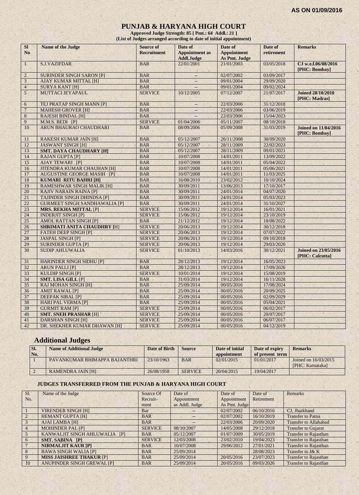## **PUNJAB & HARYANA HIGH COURT**

**Approved Judge Strength: 85 [ Pmt.: 64 Addl.: 21 ] (List of Judges arranged according to date of initial appointment)**

| <b>SI</b><br>N <sub>0</sub> | Name of the Judge                    | <b>Source of</b><br><b>Recruitment</b> | Date of<br><b>Appointment</b> as | Date of<br><b>Appointment</b> | Date of<br>retirement | <b>Remarks</b>                                 |
|-----------------------------|--------------------------------------|----------------------------------------|----------------------------------|-------------------------------|-----------------------|------------------------------------------------|
|                             |                                      |                                        | Addl.Judge                       | <b>As Pmt. Judge</b>          |                       |                                                |
| $\mathbf{1}$                | <b>S.J.VAZIFDAR</b>                  | <b>BAR</b>                             | 22/01/2001                       | 21/01/2003                    | 03/05/2018            | CJ w.e.f.06/08/2016<br>[PHC: Bombay]           |
| $\overline{2}$              | <b>SURINDER SINGH SARON [P]</b>      | <b>BAR</b>                             |                                  | 02/07/2002                    | 03/09/2017            |                                                |
| $\mathfrak{Z}$              | AJAY KUMAR MITTAL [H]                | <b>BAR</b>                             |                                  | 09/01/2004                    | 29/09/2020            |                                                |
| $\overline{4}$              | <b>SURYA KANT [H]</b>                | <b>BAR</b>                             |                                  | 09/01/2004                    | 09/02/2024            |                                                |
| 5 <sup>1</sup>              | MUTTACI JEYAPAUL                     | <b>SERVICE</b>                         | 10/12/2005                       | 07/12/2007                    | 21/07/2017            | <b>Joined 28/10/2010</b><br>[PHC: Madras]      |
| 6                           | TEJ PRATAP SINGH MANN [P]            | <b>BAR</b>                             |                                  | 22/03/2006                    | 31/12/2018            |                                                |
| $\overline{7}$              | <b>MAHESH GROVER [H]</b>             | <b>BAR</b>                             |                                  | 22/03/2006                    | 03/06/2019            |                                                |
| $\,8$                       | <b>RAJESH BINDAL [H]</b>             | <b>BAR</b>                             |                                  | 22/03/2006                    | 15/04/2023            |                                                |
| 9                           | M.M.S. BEDI [P]                      | <b>SERVICE</b>                         | 01/04/2006                       | 05/11/2007                    | 08/10/2018            |                                                |
| 10                          | ARUN BHAURAO CHAUDHARI               | <b>BAR</b>                             | 08/09/2006                       | 05/09/2008                    | 31/03/2019            | <b>Joined on 11/04/2016</b><br>[PHC: Bombay]   |
| 11                          | <b>RAKESH KUMAR JAIN [H]</b>         | <b>BAR</b>                             | 05/12/2007                       | 26/11/2008                    | 30/09/2020            |                                                |
| 12                          | <b>JASWANT SINGH [H]</b>             | <b>BAR</b>                             | 05/12/2007                       | 28/11/2009                    | 22/02/2023            |                                                |
| 13                          | <b>SMT. DAYA CHAUDHARY [H]</b>       | <b>BAR</b>                             | 05/12/2007                       | 28/11/2009                    | 09/01/2021            |                                                |
| 14                          | <b>RAJAN GUPTA [P]</b>               | <b>BAR</b>                             | 10/07/2008                       | 14/01/2011                    | 13/09/2022            |                                                |
| 15                          | <b>AJAY TEWARI [P]</b>               | <b>BAR</b>                             | 10/07/2008                       | 14/01/2011                    | 05/04/2022            |                                                |
| 16                          | <b>JITENDRA KUMAR CHAUHAN [H]</b>    | <b>BAR</b>                             | 10/07/2008                       | 14/01/2011                    | 05/06/2021            |                                                |
| 17                          | <b>AUGUSTINE GEORGE MASIH [P]</b>    | <b>BAR</b>                             | 10/07/2008                       | 14/01/2011                    | 11/03/2025            |                                                |
| 18                          | <b>KUMARI RITU BAHRI [H]</b>         | <b>BAR</b>                             | 16/08/2010                       | 23/02/2012                    | 10/10/2024            |                                                |
| 19                          | <b>RAMESHWAR SINGH MALIK [H]</b>     | <b>BAR</b>                             | 30/09/2011                       | 13/06/2013                    | 17/10/2017            |                                                |
| 20                          | <b>RAJIV NARAIN RAINA [P]</b>        | <b>BAR</b>                             | 30/09/2011                       | 24/01/2014                    | 04/07/2020            |                                                |
| 21                          | <b>TAJINDER SINGH DHINDSA [P]</b>    | <b>BAR</b>                             | 30/09/2011                       | 24/01/2014                    | 05/03/2023            |                                                |
| 22                          | <b>GURMEET SINGH SANDHAWALIA [P]</b> | <b>BAR</b>                             | 30/09/2011                       | 24/01/2014                    | 31/10/2027            |                                                |
| 23                          | <b>MRS. REKHA MITTAL [P]</b>         | <b>SERVICE</b>                         | 15/06/2012                       | 19/12/2014                    | 16/01/2021            |                                                |
| 24                          | <b>INDERJIT SINGH [P]</b>            | <b>SERVICE</b>                         | 15/06/2012                       | 19/12/2014                    | 23/10/2019            |                                                |
| 25                          | <b>AMOL RATTAN SINGH [P]</b>         | <b>BAR</b>                             | 21/12/2012                       | 19/12/2014                    | 18/08/2022            |                                                |
| 26                          | <b>SHRIMATI ANITA CHAUDHRY [H]</b>   | <b>SERVICE</b>                         | 20/06/2013                       | 19/12/2014                    | 30/12/2018            |                                                |
| 27                          | <b>FATEH DEEP SINGH [P]</b>          | <b>SERVICE</b>                         | 20/06/2013                       | 19/12/2014                    | 07/07/2022            |                                                |
| 28                          | <b>JASPAL SINGH [P]</b><br>a.        | <b>SERVICE</b>                         | 20/06/2013                       | 19/12/2014                    | 09/10/2018            |                                                |
| 29                          | <b>SURINDER GUPTA [P]</b>            | <b>SERVICE</b>                         | 20/06/2013                       | 19/12/2014                    | 29/03/2020            |                                                |
| 30                          | <b>SUDIP AHLUWALIA</b>               | <b>SERVICE</b>                         | 01/10/2013                       | 14/03/2016                    | 30/12/2021            | <b>Joined on 23/05/2016</b><br>[PHC: Calcutta] |
| 31                          | <b>HARINDER SINGH SIDHU [P]</b>      | <b>BAR</b>                             | 28/12/2013                       | 19/12/2014                    | 16/05/2023            |                                                |
| 32                          | <b>ARUN PALLI [P]</b>                | <b>BAR</b>                             | 28/12/2013                       | 19/12/2014                    | 17/09/2026            |                                                |
| 33                          | <b>KULDIP SINGH [P]</b>              | <b>SERVICE</b>                         | 10/01/2014                       | 19/12/2014                    | 15/08/2019            |                                                |
| 34                          | <b>SMT. LISA GILL [P]</b>            | <b>BAR</b>                             | 31/03/2014                       | 19/12/2014                    | 16/11/2028            |                                                |
| 35                          | <b>RAJ MOHAN SINGH [H]</b>           | <b>BAR</b>                             | 25/09/2014                       | 00/05/2016                    | 17/08/2024            |                                                |
| 36                          | <b>AMIT RAWAL [P]</b>                | <b>BAR</b>                             | 25/09/2014                       | 00/05/2016                    | 20/09/2025            |                                                |
| 37                          | <b>DEEPAK SIBAL [P]</b>              | <b>BAR</b>                             | 25/09/2014                       | 00/05/2016                    | 02/09/2029            |                                                |
| 38                          | <b>HARI PAL VERMA [P]</b>            | <b>BAR</b>                             | 25/09/2014                       | 00/05/2016                    | 05/04/2021            |                                                |
| 39                          | <b>GURMIT RAM [P]</b>                | <b>SERVICE</b>                         | 25/09/2014                       | 00/05/2016                    | 06/02/2017            |                                                |
| 40                          | <b>SMT. SNEH PRASHAR [H]</b>         | <b>SERVICE</b>                         | 25/09/2014                       | 00/05/2016                    | 20/07/2017            |                                                |
| 41                          | <b>DARSHAN SINGH [H]</b>             | <b>SERVICE</b>                         | 25/09/2014                       | 00/05/2016                    | 06/07/2017            |                                                |
| 42                          | DR. SHEKHER KUMAR DHAWAN [H]         | <b>SERVICE</b>                         | 25/09/2014                       | 00/05/2016                    | 04/12/2019            |                                                |

## **Additional Judges**

| SI.<br>No. | <b>Name of Additional Judge</b> | Date of Birth | <b>Source</b>  | Date of initial<br>appointment | Date of expiry<br>of present term | <b>Remarks</b>                           |
|------------|---------------------------------|---------------|----------------|--------------------------------|-----------------------------------|------------------------------------------|
|            | PAVANKUMAR BHIMAPPA BAJANTHRI   | 23/10/1963    | <b>BAR</b>     | 02/01/2015                     | 01/01/2017                        | Joined on 16/03/2015<br>[PHC: Karnataka] |
|            | <b>RAMENDRA JAIN [H]</b>        | 26/08/1958    | <b>SERVICE</b> | 20/04/2015                     | 19/04/2017                        |                                          |

#### **JUDGES TRANSFERRED FROM THE PUNJAB & HARYANA HIGH COURT**

| S1.          | Name of the Judge                 | Source Of      | Date of           | Date of       | Date of    | Remarks                      |
|--------------|-----------------------------------|----------------|-------------------|---------------|------------|------------------------------|
| No.          |                                   | Recruit-       | Appointment       | Appointment   | Retirement |                              |
|              |                                   | ment           | as Addl. Judge    | As Pmt. Judge |            |                              |
|              | <b>VIRENDER SINGH [H]</b>         | Bar            | $\qquad \qquad -$ | 02/07/2002    | 06/10/2016 | CJ, Jharkhand                |
|              | <b>HEMANT GUPTA [H]</b>           | <b>BAR</b>     | $\mathcal{L}$     | 02/07/2002    | 16/10/2019 | <b>Transfer to Patna</b>     |
|              | <b>AJAI LAMBA [H]</b>             | <b>BAR</b>     | $- -$             | 22/03/2006    | 20/09/2020 | <b>Transfer to Allahabad</b> |
| 4            | <b>MOHINDER PAL [P]</b>           | <b>SERVICE</b> | 08/10/2007        | 14/05/2008    | 29/12/2018 | <b>Transfer to Gujarat</b>   |
|              | KANWALJIT SINGH AHLUWALIA [P]     | <b>BAR</b>     | 05/12/2007        | 01/07/2009    | 30/05/2019 | <b>Transfer to Rajasthan</b> |
| <sub>0</sub> | <b>SMT. SABINA [P]</b>            | <b>SERVICE</b> | 12/03/2008        | 23/02/2010    | 19/04/2023 | <b>Transfer to Rajasthan</b> |
|              | <b>NIRMALJIT KAUR [P]</b>         | <b>BAR</b>     | 10/07/2008        | 29/06/2012    | 27/01/2021 | <b>Transfer to Rajasthan</b> |
| 8            | <b>BAWA SINGH WALIA [P]</b>       | <b>BAR</b>     | 25/09/2014        |               | 28/08/2023 | Transfer to J& K             |
| 9            | <b>MISS JAISHREE THAKUR [P]</b>   | <b>BAR</b>     | 25/09/2014        | 20/05/2016    | 23/07/2023 | <b>Transfer to Rajasthan</b> |
| 10           | <b>ANUPINDER SINGH GREWAL [P]</b> | <b>BAR</b>     | 25/09/2014        | 20/05/2016    | 09/03/2026 | <b>Transfer to Rajasthan</b> |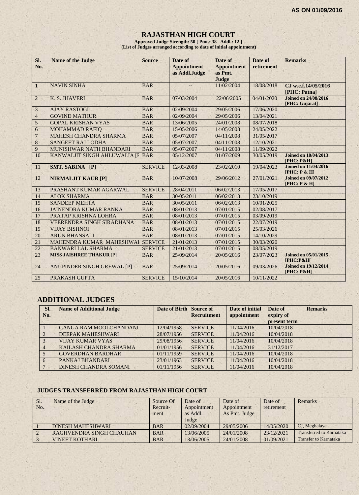## **RAJASTHAN HIGH COURT**

**Approved Judge Strength: 50 [ Pmt.: 38 Addl.: 12 ] (List of Judges arranged according to date of initial appointment)**

| SI.<br>No.     | <b>Name of the Judge</b>        | <b>Source</b>  | Date of<br><b>Appointment</b><br>as Addl.Judge | Date of<br><b>Appointment</b><br>as Pmt.<br>Judge | Date of<br>retirement | <b>Remarks</b>                                |
|----------------|---------------------------------|----------------|------------------------------------------------|---------------------------------------------------|-----------------------|-----------------------------------------------|
| $\mathbf{1}$   | <b>NAVIN SINHA</b>              | <b>BAR</b>     |                                                | 11/02/2004                                        | 18/08/2018            | CJ w.e.f.14/05/2016<br>[PHC: Patna]           |
| $\overline{2}$ | K. S. JHAVERI                   | <b>BAR</b>     | 07/03/2004                                     | 22/06/2005                                        | 04/01/2020            | <b>Joined on 24/08/2016</b><br>[PHC: Gujarat] |
| 3              | <b>AJAY RASTOGI</b>             | <b>BAR</b>     | 02/09/2004                                     | 29/05/2006                                        | 17/06/2020            |                                               |
| $\overline{4}$ | <b>GOVIND MATHUR</b>            | <b>BAR</b>     | 02/09/2004                                     | 29/05/2006                                        | 13/04/2021            |                                               |
| 5              | <b>GOPAL KRISHAN VYAS</b>       | <b>BAR</b>     | 13/06/2005                                     | 24/01/2008                                        | 08/07/2018            |                                               |
| 6              | <b>MOHAMMAD RAFIQ</b>           | <b>BAR</b>     | 15/05/2006                                     | 14/05/2008                                        | 24/05/2022            |                                               |
| $\overline{7}$ | MAHESH CHANDRA SHARMA           | <b>BAR</b>     | 05/07/2007                                     | 04/11/2008                                        | 31/05/2017            |                                               |
| 8              | <b>SANGEET RAJ LODHA</b>        | <b>BAR</b>     | 05/07/2007                                     | 04/11/2008                                        | 12/10/2021            |                                               |
| 9              | MUNISHWAR NATH BHANDARI         | <b>BAR</b>     | 05/07/2007                                     | 04/11/2008                                        | 11/09/2022            |                                               |
| 10             | KANWALJIT SINGH AHLUWALIA [I    | <b>BAR</b>     | 05/12/2007                                     | 01/07/2009                                        | 30/05/2019            | <b>Joined on 18/04/2013</b><br>$[PHC: P\&H]$  |
| 11             | SMT. SABINA [P]                 | <b>SERVICE</b> | 12/03/2008                                     | 23/02/2010                                        | 19/04/2023            | <b>Joined on 11/04/2016</b><br>[PHC: P & H]   |
| 12             | <b>NIRMALJIT KAUR [P]</b>       | <b>BAR</b>     | 10/07/2008                                     | 29/06/2012                                        | 27/01/2021            | <b>Joined on 09/07/2012</b><br>[PHC: P & H]   |
| 13             | PRASHANT KUMAR AGARWAL          | <b>SERVICE</b> | 28/04/2011                                     | 06/02/2013                                        | 17/05/2017            |                                               |
| 14             | <b>ALOK SHARMA</b>              | <b>BAR</b>     | 30/05/2011                                     | 06/02/2013                                        | 23/10/2019            |                                               |
| 15             | <b>SANDEEP MEHTA</b>            | <b>BAR</b>     | 30/05/2011                                     | 06/02/2013                                        | 10/01/2025            |                                               |
| 16             | <b>JAINENDRA KUMAR RANKA</b>    | <b>BAR</b>     | 08/01/2013                                     | 07/01/2015                                        | 02/08/2017            |                                               |
| 17             | PRATAP KRISHNA LOHRA            | <b>BAR</b>     | 08/01/2013                                     | 07/01/2015                                        | 03/09/2019            |                                               |
| 18             | VEERENDRA SINGH SIRADHANA       | <b>BAR</b>     | 08/01/2013                                     | 07/01/2015                                        | 22/07/2019            |                                               |
| 19             | <b>VIJAY BISHNOI</b>            | <b>BAR</b>     | 08/01/2013                                     | 07/01/2015                                        | 25/03/2026            |                                               |
| 20             | <b>ARUN BHANSALI</b>            | <b>BAR</b>     | 08/01/2013                                     | 07/01/2015                                        | 14/10/2029            |                                               |
| 21             | MAHENDRA KUMAR MAHESHWA         | <b>SERVICE</b> | 21/01/2013                                     | 07/01/2015                                        | 30/03/2020            |                                               |
| 22             | <b>BANWARI LAL SHARMA</b>       | <b>SERVICE</b> | 21/01/2013                                     | 07/01/2015                                        | 08/05/2019            |                                               |
| 23             | <b>MISS JAISHREE THAKUR [P]</b> | <b>BAR</b>     | 25/09/2014                                     | 20/05/2016                                        | 23/07/2023            | <b>Joined on 05/01/2015</b><br>[PHC:P&H]      |
| 24             | ANUPINDER SINGH GREWAL [P]      | <b>BAR</b>     | 25/09/2014                                     | 20/05/2016                                        | 09/03/2026            | <b>Joined on 19/12/2014</b><br>[PHC: P&H]     |
| 25             | PRAKASH GUPTA                   | <b>SERVICE</b> | 15/10/2014                                     | 20/05/2016                                        | 10/11/2022            |                                               |

## **ADDITIONAL JUDGES**

| Sl.<br>No.   | <b>Name of Additional Judge</b> | Date of Birth Source of | <b>Recruitment</b> | Date of initial<br>appointment | Date of<br>expiry of<br>present term | <b>Remarks</b> |
|--------------|---------------------------------|-------------------------|--------------------|--------------------------------|--------------------------------------|----------------|
|              | <b>GANGA RAM MOOLCHANDANI</b>   | 12/04/1958              | <b>SERVICE</b>     | 11/04/2016                     | 10/04/2018                           |                |
|              | DEEPAK MAHESHWARI               | 28/07/1956              | <b>SERVICE</b>     | 11/04/2016                     | 10/04/2018                           |                |
|              | <b>VIJAY KUMAR VYAS</b>         | 29/08/1956              | <b>SERVICE</b>     | 11/04/2016                     | 10/04/2018                           |                |
|              | KAILASH CHANDRA SHARMA          | 01/01/1956              | <b>SERVICE</b>     | 11/04/2016                     | 31/12/2017                           |                |
|              | <b>GOVERDHAN BARDHAR</b>        | 01/11/1959              | <b>SERVICE</b>     | 11/04/2016                     | 10/04/2018                           |                |
| <sub>6</sub> | PANKAJ BHANDARI                 | 23/01/1963              | <b>SERVICE</b>     | 11/04/2016                     | 10/04/2018                           |                |
|              | DINESH CHANDRA SOMANI           | 01/11/1956              | <b>SERVICE</b>     | 11/04/2016                     | 10/04/2018                           |                |

## **JUDGES TRANSFERRED FROM RAJASTHAN HIGH COURT**

| Sl.<br>No. | Name of the Judge        | Source Of<br>Recruit-<br>ment | Date of<br>Appointment<br>as Addl.<br>Judge | Date of<br>Appointment<br>As Pmt. Judge | Date of<br>retirement | <b>Remarks</b>                  |
|------------|--------------------------|-------------------------------|---------------------------------------------|-----------------------------------------|-----------------------|---------------------------------|
|            | <b>DINESH MAHESHWARI</b> | <b>BAR</b>                    | 02/09/2004                                  | 29/05/2006                              | 14/05/2020            | CJ, Meghalaya                   |
|            | RAGHVENDRA SINGH CHAUHAN | <b>BAR</b>                    | 13/06/2005                                  | 24/01/2008                              | 23/12/2021            | <b>Transferred to Karnataka</b> |
|            | <b>VINEET KOTHARI</b>    | <b>BAR</b>                    | 13/06/2005                                  | 24/01/2008                              | 01/09/2021            | <b>Transfer to Karnataka</b>    |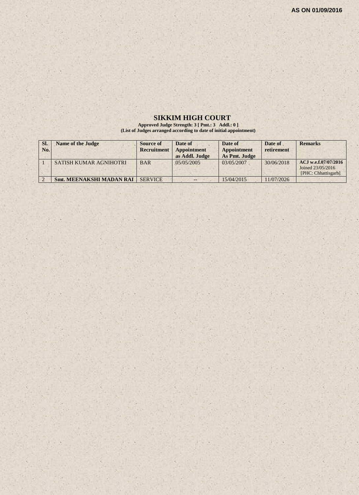## **SIKKIM HIGH COURT**

**Approved Judge Strength: 3 [ Pmt.: 3 Addl.: 0 ] (List of Judges arranged according to date of initial appointment)**

| SI.<br>No. | <b>Name of the Judge</b>        | Source of<br>Recruitment | Date of<br>Appointment<br>as Addl. Judge | Date of<br><b>Appointment</b><br>As Pmt. Judge | Date of<br>retirement | <b>Remarks</b>                                                   |
|------------|---------------------------------|--------------------------|------------------------------------------|------------------------------------------------|-----------------------|------------------------------------------------------------------|
|            | <b>SATISH KUMAR AGNIHOTRI</b>   | <b>BAR</b>               | 0.5/0.5/200.5                            | 03/05/2007                                     | 30/06/2018            | ACJ w.e.f.07/07/2016<br>Joined 23/05/2016<br>[PHC: Chhattisgarh] |
|            | <b>Smt. MEENAKSHI MADAN RAI</b> | <b>SERVICE</b>           | --                                       | 15/04/2015                                     | 11/07/2026            |                                                                  |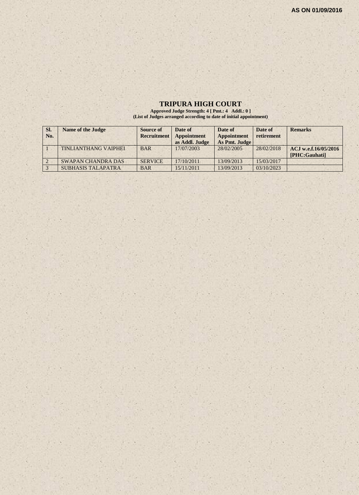## **TRIPURA HIGH COURT**

**Approved Judge Strength: 4 [ Pmt.: 4 Addl.: 0 ] (List of Judges arranged according to date of initial appointment)**

| SI. | <b>Name of the Judge</b>  | <b>Source of</b> | Date of        | Date of       | Date of    | <b>Remarks</b>       |
|-----|---------------------------|------------------|----------------|---------------|------------|----------------------|
| No. |                           | Recruitment      | Appointment    | Appointment   | retirement |                      |
|     |                           |                  | as Addl. Judge | As Pmt. Judge |            |                      |
|     | TINLIANTHANG VAIPHEI      | <b>BAR</b>       | 17/07/2003     | 28/02/2005    | 28/02/2018 | ACJ w.e.f.16/05/2016 |
|     |                           |                  |                |               |            | [PHC:Gauhati]        |
|     | <b>SWAPAN CHANDRA DAS</b> | <b>SERVICE</b>   | 17/10/2011     | 13/09/2013    | 15/03/2017 |                      |
|     | <b>SUBHASIS TALAPATRA</b> | <b>BAR</b>       | 15/11/2011     | 13/09/2013    | 03/10/2023 |                      |